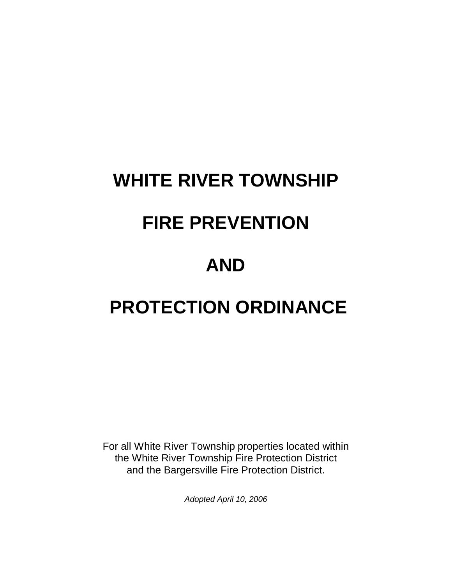# **WHITE RIVER TOWNSHIP**

# **FIRE PREVENTION**

# **AND**

# **PROTECTION ORDINANCE**

For all White River Township properties located within the White River Township Fire Protection District and the Bargersville Fire Protection District.

*Adopted April 10, 2006*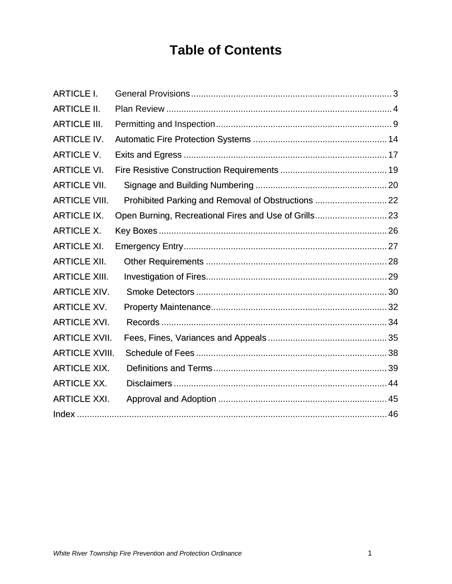# **Table of Contents**

| <b>ARTICLE I.</b>     |                                                       |  |
|-----------------------|-------------------------------------------------------|--|
| <b>ARTICLE II.</b>    |                                                       |  |
| <b>ARTICLE III.</b>   |                                                       |  |
| <b>ARTICLE IV.</b>    |                                                       |  |
| <b>ARTICLE V.</b>     |                                                       |  |
| <b>ARTICLE VI.</b>    |                                                       |  |
| <b>ARTICLE VII.</b>   |                                                       |  |
| <b>ARTICLE VIII.</b>  | Prohibited Parking and Removal of Obstructions  22    |  |
| <b>ARTICLE IX.</b>    | Open Burning, Recreational Fires and Use of Grills 23 |  |
| <b>ARTICLE X.</b>     |                                                       |  |
| <b>ARTICLE XI.</b>    |                                                       |  |
| <b>ARTICLE XII.</b>   |                                                       |  |
| <b>ARTICLE XIII.</b>  |                                                       |  |
| <b>ARTICLE XIV.</b>   |                                                       |  |
| <b>ARTICLE XV.</b>    |                                                       |  |
| <b>ARTICLE XVI.</b>   |                                                       |  |
| <b>ARTICLE XVII.</b>  |                                                       |  |
| <b>ARTICLE XVIII.</b> |                                                       |  |
| <b>ARTICLE XIX.</b>   |                                                       |  |
| <b>ARTICLE XX.</b>    |                                                       |  |
| <b>ARTICLE XXI.</b>   |                                                       |  |
|                       |                                                       |  |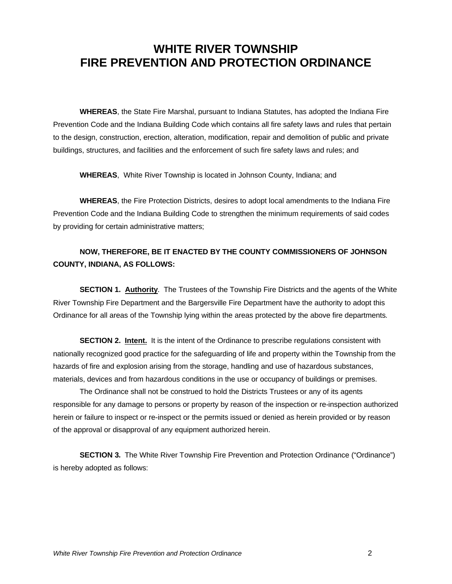### **WHITE RIVER TOWNSHIP FIRE PREVENTION AND PROTECTION ORDINANCE**

**WHEREAS**, the State Fire Marshal, pursuant to Indiana Statutes, has adopted the Indiana Fire Prevention Code and the Indiana Building Code which contains all fire safety laws and rules that pertain to the design, construction, erection, alteration, modification, repair and demolition of public and private buildings, structures, and facilities and the enforcement of such fire safety laws and rules; and

**WHEREAS**, White River Township is located in Johnson County, Indiana; and

**WHEREAS**, the Fire Protection Districts, desires to adopt local amendments to the Indiana Fire Prevention Code and the Indiana Building Code to strengthen the minimum requirements of said codes by providing for certain administrative matters;

### **NOW, THEREFORE, BE IT ENACTED BY THE COUNTY COMMISSIONERS OF JOHNSON COUNTY, INDIANA, AS FOLLOWS:**

**SECTION 1. Authority**. The Trustees of the Township Fire Districts and the agents of the White River Township Fire Department and the Bargersville Fire Department have the authority to adopt this Ordinance for all areas of the Township lying within the areas protected by the above fire departments.

**SECTION 2. Intent.** It is the intent of the Ordinance to prescribe regulations consistent with nationally recognized good practice for the safeguarding of life and property within the Township from the hazards of fire and explosion arising from the storage, handling and use of hazardous substances, materials, devices and from hazardous conditions in the use or occupancy of buildings or premises.

The Ordinance shall not be construed to hold the Districts Trustees or any of its agents responsible for any damage to persons or property by reason of the inspection or re-inspection authorized herein or failure to inspect or re-inspect or the permits issued or denied as herein provided or by reason of the approval or disapproval of any equipment authorized herein.

**SECTION 3.** The White River Township Fire Prevention and Protection Ordinance ("Ordinance") is hereby adopted as follows: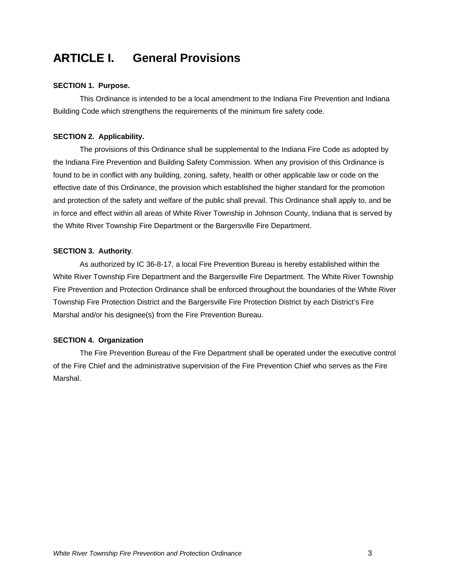### **ARTICLE I. General Provisions**

#### **SECTION 1. Purpose.**

This Ordinance is intended to be a local amendment to the Indiana Fire Prevention and Indiana Building Code which strengthens the requirements of the minimum fire safety code.

#### **SECTION 2. Applicability.**

The provisions of this Ordinance shall be supplemental to the Indiana Fire Code as adopted by the Indiana Fire Prevention and Building Safety Commission. When any provision of this Ordinance is found to be in conflict with any building, zoning, safety, health or other applicable law or code on the effective date of this Ordinance, the provision which established the higher standard for the promotion and protection of the safety and welfare of the public shall prevail. This Ordinance shall apply to, and be in force and effect within all areas of White River Township in Johnson County, Indiana that is served by the White River Township Fire Department or the Bargersville Fire Department.

#### **SECTION 3. Authority**.

As authorized by IC 36-8-17, a local Fire Prevention Bureau is hereby established within the White River Township Fire Department and the Bargersville Fire Department. The White River Township Fire Prevention and Protection Ordinance shall be enforced throughout the boundaries of the White River Township Fire Protection District and the Bargersville Fire Protection District by each District's Fire Marshal and/or his designee(s) from the Fire Prevention Bureau.

#### **SECTION 4. Organization**

The Fire Prevention Bureau of the Fire Department shall be operated under the executive control of the Fire Chief and the administrative supervision of the Fire Prevention Chief who serves as the Fire Marshal.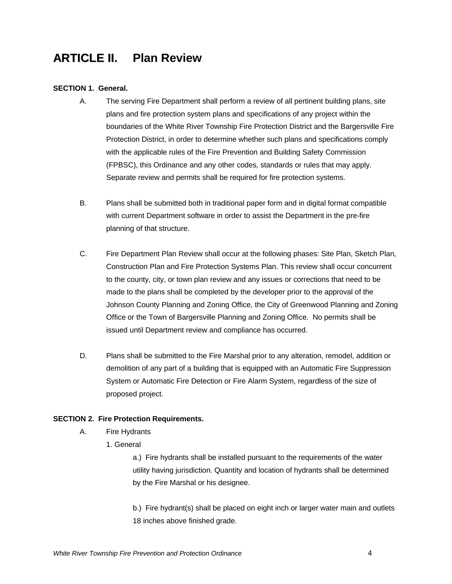### **ARTICLE II. Plan Review**

#### **SECTION 1. General.**

- A. The serving Fire Department shall perform a review of all pertinent building plans, site plans and fire protection system plans and specifications of any project within the boundaries of the White River Township Fire Protection District and the Bargersville Fire Protection District, in order to determine whether such plans and specifications comply with the applicable rules of the Fire Prevention and Building Safety Commission (FPBSC), this Ordinance and any other codes, standards or rules that may apply. Separate review and permits shall be required for fire protection systems.
- B. Plans shall be submitted both in traditional paper form and in digital format compatible with current Department software in order to assist the Department in the pre-fire planning of that structure.
- C. Fire Department Plan Review shall occur at the following phases: Site Plan, Sketch Plan, Construction Plan and Fire Protection Systems Plan. This review shall occur concurrent to the county, city, or town plan review and any issues or corrections that need to be made to the plans shall be completed by the developer prior to the approval of the Johnson County Planning and Zoning Office, the City of Greenwood Planning and Zoning Office or the Town of Bargersville Planning and Zoning Office. No permits shall be issued until Department review and compliance has occurred.
- D. Plans shall be submitted to the Fire Marshal prior to any alteration, remodel, addition or demolition of any part of a building that is equipped with an Automatic Fire Suppression System or Automatic Fire Detection or Fire Alarm System, regardless of the size of proposed project.

#### **SECTION 2. Fire Protection Requirements.**

- A. Fire Hydrants
	- 1. General

a.) Fire hydrants shall be installed pursuant to the requirements of the water utility having jurisdiction. Quantity and location of hydrants shall be determined by the Fire Marshal or his designee.

b.) Fire hydrant(s) shall be placed on eight inch or larger water main and outlets 18 inches above finished grade.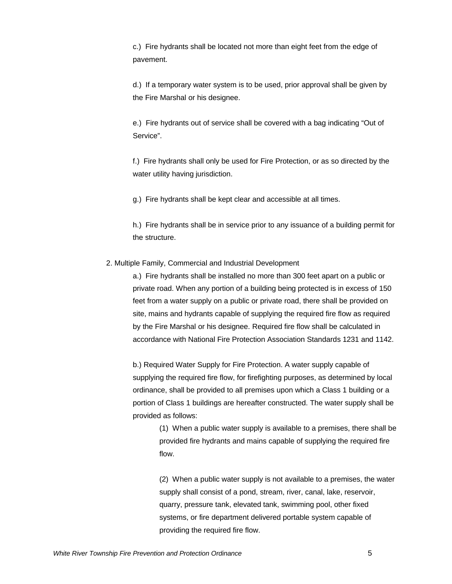c.) Fire hydrants shall be located not more than eight feet from the edge of pavement.

d.) If a temporary water system is to be used, prior approval shall be given by the Fire Marshal or his designee.

e.) Fire hydrants out of service shall be covered with a bag indicating "Out of Service".

f.) Fire hydrants shall only be used for Fire Protection, or as so directed by the water utility having jurisdiction.

g.) Fire hydrants shall be kept clear and accessible at all times.

h.) Fire hydrants shall be in service prior to any issuance of a building permit for the structure.

#### 2. Multiple Family, Commercial and Industrial Development

a.) Fire hydrants shall be installed no more than 300 feet apart on a public or private road. When any portion of a building being protected is in excess of 150 feet from a water supply on a public or private road, there shall be provided on site, mains and hydrants capable of supplying the required fire flow as required by the Fire Marshal or his designee. Required fire flow shall be calculated in accordance with National Fire Protection Association Standards 1231 and 1142.

b.) Required Water Supply for Fire Protection. A water supply capable of supplying the required fire flow, for firefighting purposes, as determined by local ordinance, shall be provided to all premises upon which a Class 1 building or a portion of Class 1 buildings are hereafter constructed. The water supply shall be provided as follows:

> (1) When a public water supply is available to a premises, there shall be provided fire hydrants and mains capable of supplying the required fire flow.

> (2) When a public water supply is not available to a premises, the water supply shall consist of a pond, stream, river, canal, lake, reservoir, quarry, pressure tank, elevated tank, swimming pool, other fixed systems, or fire department delivered portable system capable of providing the required fire flow.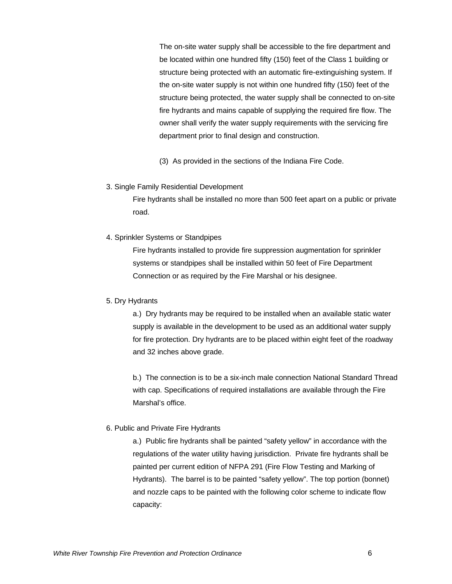The on-site water supply shall be accessible to the fire department and be located within one hundred fifty (150) feet of the Class 1 building or structure being protected with an automatic fire-extinguishing system. If the on-site water supply is not within one hundred fifty (150) feet of the structure being protected, the water supply shall be connected to on-site fire hydrants and mains capable of supplying the required fire flow. The owner shall verify the water supply requirements with the servicing fire department prior to final design and construction.

(3) As provided in the sections of the Indiana Fire Code.

#### 3. Single Family Residential Development

Fire hydrants shall be installed no more than 500 feet apart on a public or private road.

#### 4. Sprinkler Systems or Standpipes

Fire hydrants installed to provide fire suppression augmentation for sprinkler systems or standpipes shall be installed within 50 feet of Fire Department Connection or as required by the Fire Marshal or his designee.

#### 5. Dry Hydrants

a.) Dry hydrants may be required to be installed when an available static water supply is available in the development to be used as an additional water supply for fire protection. Dry hydrants are to be placed within eight feet of the roadway and 32 inches above grade.

b.) The connection is to be a six-inch male connection National Standard Thread with cap. Specifications of required installations are available through the Fire Marshal's office.

#### 6. Public and Private Fire Hydrants

a.) Public fire hydrants shall be painted "safety yellow" in accordance with the regulations of the water utility having jurisdiction. Private fire hydrants shall be painted per current edition of NFPA 291 (Fire Flow Testing and Marking of Hydrants). The barrel is to be painted "safety yellow". The top portion (bonnet) and nozzle caps to be painted with the following color scheme to indicate flow capacity: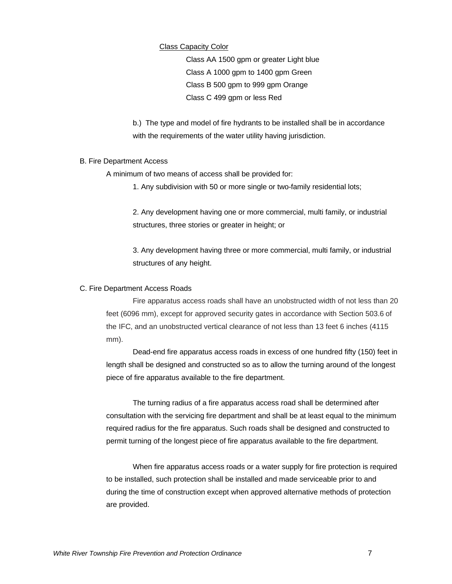#### Class Capacity Color

Class AA 1500 gpm or greater Light blue Class A 1000 gpm to 1400 gpm Green Class B 500 gpm to 999 gpm Orange Class C 499 gpm or less Red

b.) The type and model of fire hydrants to be installed shall be in accordance with the requirements of the water utility having jurisdiction.

#### B. Fire Department Access

A minimum of two means of access shall be provided for:

1. Any subdivision with 50 or more single or two-family residential lots;

2. Any development having one or more commercial, multi family, or industrial structures, three stories or greater in height; or

3. Any development having three or more commercial, multi family, or industrial structures of any height.

#### C. Fire Department Access Roads

Fire apparatus access roads shall have an unobstructed width of not less than 20 feet (6096 mm), except for approved security gates in accordance with Section 503.6 of the IFC, and an unobstructed vertical clearance of not less than 13 feet 6 inches (4115 mm).

Dead-end fire apparatus access roads in excess of one hundred fifty (150) feet in length shall be designed and constructed so as to allow the turning around of the longest piece of fire apparatus available to the fire department.

The turning radius of a fire apparatus access road shall be determined after consultation with the servicing fire department and shall be at least equal to the minimum required radius for the fire apparatus. Such roads shall be designed and constructed to permit turning of the longest piece of fire apparatus available to the fire department.

When fire apparatus access roads or a water supply for fire protection is required to be installed, such protection shall be installed and made serviceable prior to and during the time of construction except when approved alternative methods of protection are provided.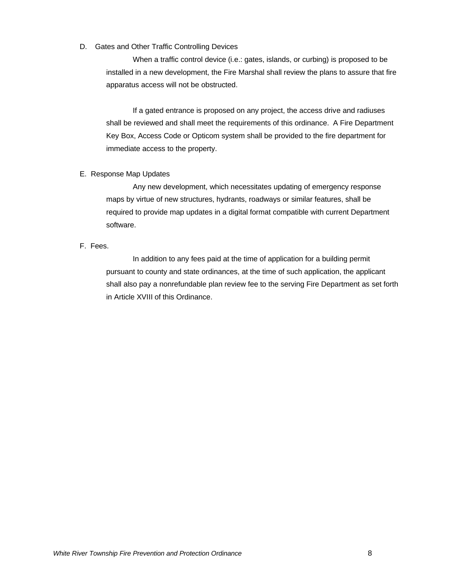#### D. Gates and Other Traffic Controlling Devices

When a traffic control device (i.e.: gates, islands, or curbing) is proposed to be installed in a new development, the Fire Marshal shall review the plans to assure that fire apparatus access will not be obstructed.

If a gated entrance is proposed on any project, the access drive and radiuses shall be reviewed and shall meet the requirements of this ordinance. A Fire Department Key Box, Access Code or Opticom system shall be provided to the fire department for immediate access to the property.

#### E. Response Map Updates

Any new development, which necessitates updating of emergency response maps by virtue of new structures, hydrants, roadways or similar features, shall be required to provide map updates in a digital format compatible with current Department software.

#### F. Fees.

In addition to any fees paid at the time of application for a building permit pursuant to county and state ordinances, at the time of such application, the applicant shall also pay a nonrefundable plan review fee to the serving Fire Department as set forth in Article XVIII of this Ordinance.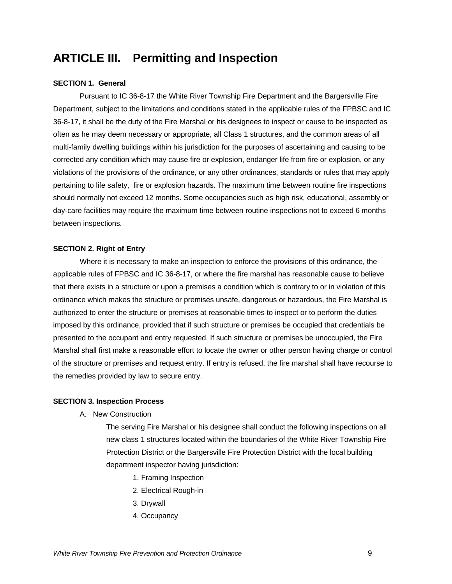### **ARTICLE III. Permitting and Inspection**

#### **SECTION 1. General**

Pursuant to IC 36-8-17 the White River Township Fire Department and the Bargersville Fire Department, subject to the limitations and conditions stated in the applicable rules of the FPBSC and IC 36-8-17, it shall be the duty of the Fire Marshal or his designees to inspect or cause to be inspected as often as he may deem necessary or appropriate, all Class 1 structures, and the common areas of all multi-family dwelling buildings within his jurisdiction for the purposes of ascertaining and causing to be corrected any condition which may cause fire or explosion, endanger life from fire or explosion, or any violations of the provisions of the ordinance, or any other ordinances, standards or rules that may apply pertaining to life safety, fire or explosion hazards. The maximum time between routine fire inspections should normally not exceed 12 months. Some occupancies such as high risk, educational, assembly or day-care facilities may require the maximum time between routine inspections not to exceed 6 months between inspections.

#### **SECTION 2. Right of Entry**

Where it is necessary to make an inspection to enforce the provisions of this ordinance, the applicable rules of FPBSC and IC 36-8-17, or where the fire marshal has reasonable cause to believe that there exists in a structure or upon a premises a condition which is contrary to or in violation of this ordinance which makes the structure or premises unsafe, dangerous or hazardous, the Fire Marshal is authorized to enter the structure or premises at reasonable times to inspect or to perform the duties imposed by this ordinance, provided that if such structure or premises be occupied that credentials be presented to the occupant and entry requested. If such structure or premises be unoccupied, the Fire Marshal shall first make a reasonable effort to locate the owner or other person having charge or control of the structure or premises and request entry. If entry is refused, the fire marshal shall have recourse to the remedies provided by law to secure entry.

#### **SECTION 3. Inspection Process**

A. New Construction

The serving Fire Marshal or his designee shall conduct the following inspections on all new class 1 structures located within the boundaries of the White River Township Fire Protection District or the Bargersville Fire Protection District with the local building department inspector having jurisdiction:

- 1. Framing Inspection
- 2. Electrical Rough-in
- 3. Drywall
- 4. Occupancy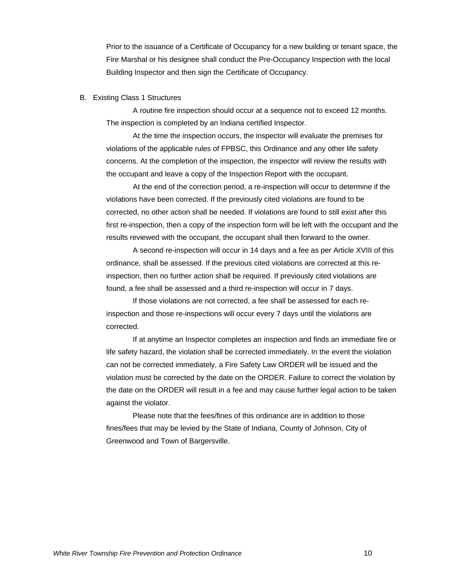Prior to the issuance of a Certificate of Occupancy for a new building or tenant space, the Fire Marshal or his designee shall conduct the Pre-Occupancy Inspection with the local Building Inspector and then sign the Certificate of Occupancy.

#### B. Existing Class 1 Structures

A routine fire inspection should occur at a sequence not to exceed 12 months. The inspection is completed by an Indiana certified Inspector.

At the time the inspection occurs, the inspector will evaluate the premises for violations of the applicable rules of FPBSC, this Ordinance and any other life safety concerns. At the completion of the inspection, the inspector will review the results with the occupant and leave a copy of the Inspection Report with the occupant.

At the end of the correction period, a re-inspection will occur to determine if the violations have been corrected. If the previously cited violations are found to be corrected, no other action shall be needed. If violations are found to still exist after this first re-inspection, then a copy of the inspection form will be left with the occupant and the results reviewed with the occupant, the occupant shall then forward to the owner.

A second re-inspection will occur in 14 days and a fee as per Article XVIII of this ordinance, shall be assessed. If the previous cited violations are corrected at this reinspection, then no further action shall be required. If previously cited violations are found, a fee shall be assessed and a third re-inspection will occur in 7 days.

If those violations are not corrected, a fee shall be assessed for each reinspection and those re-inspections will occur every 7 days until the violations are corrected.

If at anytime an Inspector completes an inspection and finds an immediate fire or life safety hazard, the violation shall be corrected immediately. In the event the violation can not be corrected immediately, a Fire Safety Law ORDER will be issued and the violation must be corrected by the date on the ORDER. Failure to correct the violation by the date on the ORDER will result in a fee and may cause further legal action to be taken against the violator.

Please note that the fees/fines of this ordinance are in addition to those fines/fees that may be levied by the State of Indiana, County of Johnson, City of Greenwood and Town of Bargersville.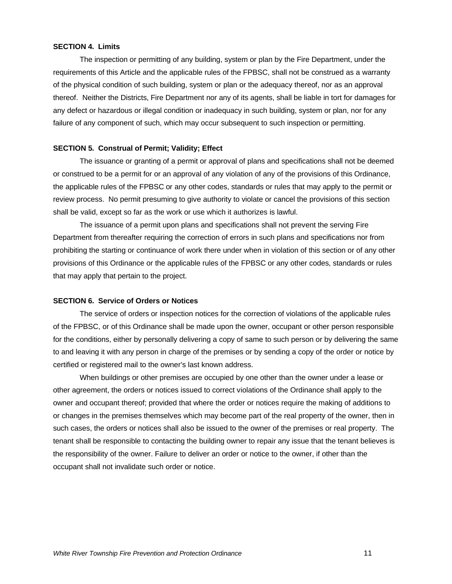#### **SECTION 4. Limits**

The inspection or permitting of any building, system or plan by the Fire Department, under the requirements of this Article and the applicable rules of the FPBSC, shall not be construed as a warranty of the physical condition of such building, system or plan or the adequacy thereof, nor as an approval thereof. Neither the Districts, Fire Department nor any of its agents, shall be liable in tort for damages for any defect or hazardous or illegal condition or inadequacy in such building, system or plan, nor for any failure of any component of such, which may occur subsequent to such inspection or permitting.

#### **SECTION 5. Construal of Permit; Validity; Effect**

The issuance or granting of a permit or approval of plans and specifications shall not be deemed or construed to be a permit for or an approval of any violation of any of the provisions of this Ordinance, the applicable rules of the FPBSC or any other codes, standards or rules that may apply to the permit or review process. No permit presuming to give authority to violate or cancel the provisions of this section shall be valid, except so far as the work or use which it authorizes is lawful.

The issuance of a permit upon plans and specifications shall not prevent the serving Fire Department from thereafter requiring the correction of errors in such plans and specifications nor from prohibiting the starting or continuance of work there under when in violation of this section or of any other provisions of this Ordinance or the applicable rules of the FPBSC or any other codes, standards or rules that may apply that pertain to the project.

#### **SECTION 6. Service of Orders or Notices**

The service of orders or inspection notices for the correction of violations of the applicable rules of the FPBSC, or of this Ordinance shall be made upon the owner, occupant or other person responsible for the conditions, either by personally delivering a copy of same to such person or by delivering the same to and leaving it with any person in charge of the premises or by sending a copy of the order or notice by certified or registered mail to the owner's last known address.

When buildings or other premises are occupied by one other than the owner under a lease or other agreement, the orders or notices issued to correct violations of the Ordinance shall apply to the owner and occupant thereof; provided that where the order or notices require the making of additions to or changes in the premises themselves which may become part of the real property of the owner, then in such cases, the orders or notices shall also be issued to the owner of the premises or real property. The tenant shall be responsible to contacting the building owner to repair any issue that the tenant believes is the responsibility of the owner. Failure to deliver an order or notice to the owner, if other than the occupant shall not invalidate such order or notice.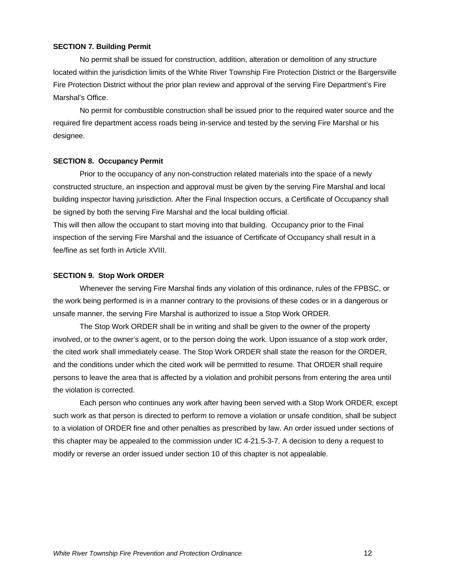#### **SECTION 7. Building Permit**

No permit shall be issued for construction, addition, alteration or demolition of any structure located within the jurisdiction limits of the White River Township Fire Protection District or the Bargersville Fire Protection District without the prior plan review and approval of the serving Fire Department's Fire Marshal's Office.

No permit for combustible construction shall be issued prior to the required water source and the required fire department access roads being in-service and tested by the serving Fire Marshal or his designee.

#### **SECTION 8. Occupancy Permit**

Prior to the occupancy of any non-construction related materials into the space of a newly constructed structure, an inspection and approval must be given by the serving Fire Marshal and local building inspector having jurisdiction. After the Final Inspection occurs, a Certificate of Occupancy shall be signed by both the serving Fire Marshal and the local building official.

This will then allow the occupant to start moving into that building. Occupancy prior to the Final inspection of the serving Fire Marshal and the issuance of Certificate of Occupancy shall result in a fee/fine as set forth in Article XVIII.

#### **SECTION 9. Stop Work ORDER**

Whenever the serving Fire Marshal finds any violation of this ordinance, rules of the FPBSC, or the work being performed is in a manner contrary to the provisions of these codes or in a dangerous or unsafe manner, the serving Fire Marshal is authorized to issue a Stop Work ORDER.

The Stop Work ORDER shall be in writing and shall be given to the owner of the property involved, or to the owner's agent, or to the person doing the work. Upon issuance of a stop work order, the cited work shall immediately cease. The Stop Work ORDER shall state the reason for the ORDER, and the conditions under which the cited work will be permitted to resume. That ORDER shall require persons to leave the area that is affected by a violation and prohibit persons from entering the area until the violation is corrected.

Each person who continues any work after having been served with a Stop Work ORDER, except such work as that person is directed to perform to remove a violation or unsafe condition, shall be subject to a violation of ORDER fine and other penalties as prescribed by law. An order issued under sections of this chapter may be appealed to the commission under IC 4-21.5-3-7. A decision to deny a request to modify or reverse an order issued under section 10 of this chapter is not appealable.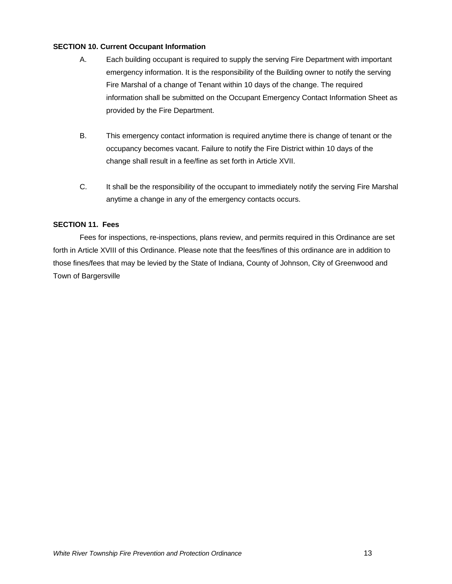#### **SECTION 10. Current Occupant Information**

- A. Each building occupant is required to supply the serving Fire Department with important emergency information. It is the responsibility of the Building owner to notify the serving Fire Marshal of a change of Tenant within 10 days of the change. The required information shall be submitted on the Occupant Emergency Contact Information Sheet as provided by the Fire Department.
- B. This emergency contact information is required anytime there is change of tenant or the occupancy becomes vacant. Failure to notify the Fire District within 10 days of the change shall result in a fee/fine as set forth in Article XVII.
- C. It shall be the responsibility of the occupant to immediately notify the serving Fire Marshal anytime a change in any of the emergency contacts occurs.

#### **SECTION 11. Fees**

Fees for inspections, re-inspections, plans review, and permits required in this Ordinance are set forth in Article XVIII of this Ordinance. Please note that the fees/fines of this ordinance are in addition to those fines/fees that may be levied by the State of Indiana, County of Johnson, City of Greenwood and Town of Bargersville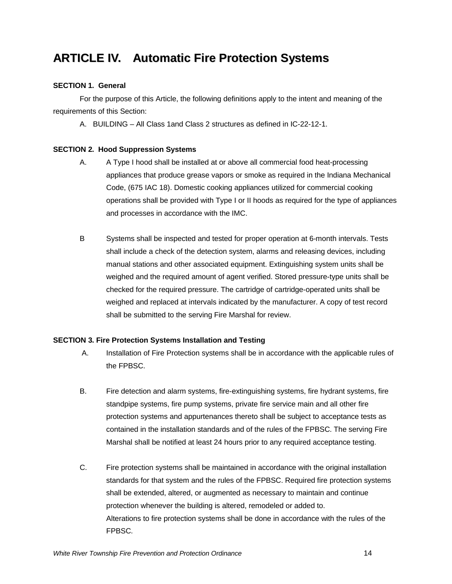### **ARTICLE IV. Automatic Fire Protection Systems**

#### **SECTION 1. General**

For the purpose of this Article, the following definitions apply to the intent and meaning of the requirements of this Section:

A. BUILDING – All Class 1and Class 2 structures as defined in IC-22-12-1.

#### **SECTION 2. Hood Suppression Systems**

- A. A Type I hood shall be installed at or above all commercial food heat-processing appliances that produce grease vapors or smoke as required in the Indiana Mechanical Code, (675 IAC 18). Domestic cooking appliances utilized for commercial cooking operations shall be provided with Type I or II hoods as required for the type of appliances and processes in accordance with the IMC.
- B Systems shall be inspected and tested for proper operation at 6-month intervals. Tests shall include a check of the detection system, alarms and releasing devices, including manual stations and other associated equipment. Extinguishing system units shall be weighed and the required amount of agent verified. Stored pressure-type units shall be checked for the required pressure. The cartridge of cartridge-operated units shall be weighed and replaced at intervals indicated by the manufacturer. A copy of test record shall be submitted to the serving Fire Marshal for review.

#### **SECTION 3. Fire Protection Systems Installation and Testing**

- A. Installation of Fire Protection systems shall be in accordance with the applicable rules of the FPBSC.
- B. Fire detection and alarm systems, fire-extinguishing systems, fire hydrant systems, fire standpipe systems, fire pump systems, private fire service main and all other fire protection systems and appurtenances thereto shall be subject to acceptance tests as contained in the installation standards and of the rules of the FPBSC. The serving Fire Marshal shall be notified at least 24 hours prior to any required acceptance testing.
- C. Fire protection systems shall be maintained in accordance with the original installation standards for that system and the rules of the FPBSC. Required fire protection systems shall be extended, altered, or augmented as necessary to maintain and continue protection whenever the building is altered, remodeled or added to. Alterations to fire protection systems shall be done in accordance with the rules of the FPBSC.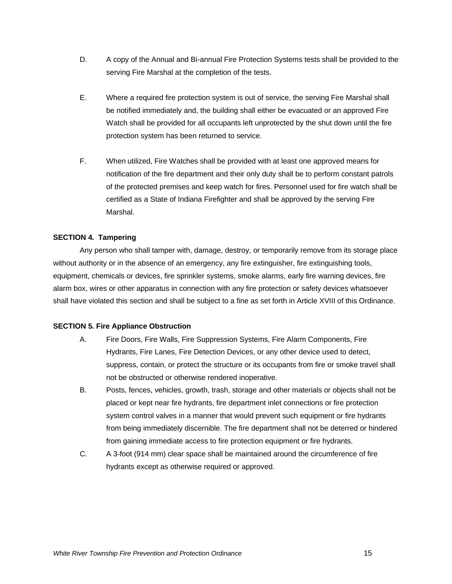- D. A copy of the Annual and Bi-annual Fire Protection Systems tests shall be provided to the serving Fire Marshal at the completion of the tests.
- E. Where a required fire protection system is out of service, the serving Fire Marshal shall be notified immediately and, the building shall either be evacuated or an approved Fire Watch shall be provided for all occupants left unprotected by the shut down until the fire protection system has been returned to service.
- F. When utilized, Fire Watches shall be provided with at least one approved means for notification of the fire department and their only duty shall be to perform constant patrols of the protected premises and keep watch for fires. Personnel used for fire watch shall be certified as a State of Indiana Firefighter and shall be approved by the serving Fire Marshal.

#### **SECTION 4. Tampering**

Any person who shall tamper with, damage, destroy, or temporarily remove from its storage place without authority or in the absence of an emergency, any fire extinguisher, fire extinguishing tools, equipment, chemicals or devices, fire sprinkler systems, smoke alarms, early fire warning devices, fire alarm box, wires or other apparatus in connection with any fire protection or safety devices whatsoever shall have violated this section and shall be subject to a fine as set forth in Article XVIII of this Ordinance.

#### **SECTION 5. Fire Appliance Obstruction**

- A. Fire Doors, Fire Walls, Fire Suppression Systems, Fire Alarm Components, Fire Hydrants, Fire Lanes, Fire Detection Devices, or any other device used to detect, suppress, contain, or protect the structure or its occupants from fire or smoke travel shall not be obstructed or otherwise rendered inoperative.
- B. Posts, fences, vehicles, growth, trash, storage and other materials or objects shall not be placed or kept near fire hydrants, fire department inlet connections or fire protection system control valves in a manner that would prevent such equipment or fire hydrants from being immediately discernible. The fire department shall not be deterred or hindered from gaining immediate access to fire protection equipment or fire hydrants.
- C. A 3-foot (914 mm) clear space shall be maintained around the circumference of fire hydrants except as otherwise required or approved.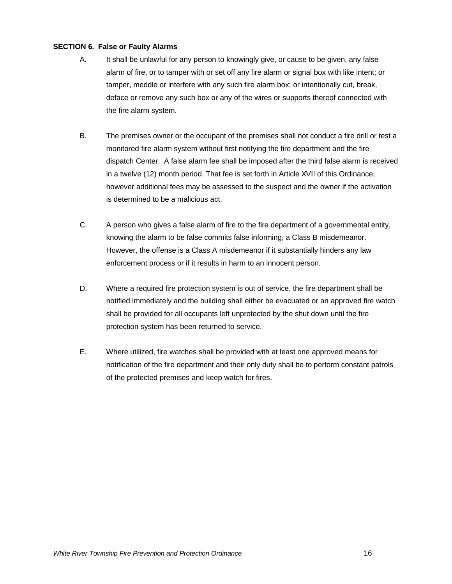#### **SECTION 6. False or Faulty Alarms**

- A. It shall be unlawful for any person to knowingly give, or cause to be given, any false alarm of fire, or to tamper with or set off any fire alarm or signal box with like intent; or tamper, meddle or interfere with any such fire alarm box; or intentionally cut, break, deface or remove any such box or any of the wires or supports thereof connected with the fire alarm system.
- B. The premises owner or the occupant of the premises shall not conduct a fire drill or test a monitored fire alarm system without first notifying the fire department and the fire dispatch Center. A false alarm fee shall be imposed after the third false alarm is received in a twelve (12) month period. That fee is set forth in Article XVII of this Ordinance, however additional fees may be assessed to the suspect and the owner if the activation is determined to be a malicious act.
- C. A person who gives a false alarm of fire to the fire department of a governmental entity, knowing the alarm to be false commits false informing, a Class B misdemeanor. However, the offense is a Class A misdemeanor if it substantially hinders any law enforcement process or if it results in harm to an innocent person.
- D. Where a required fire protection system is out of service, the fire department shall be notified immediately and the building shall either be evacuated or an approved fire watch shall be provided for all occupants left unprotected by the shut down until the fire protection system has been returned to service.
- E. Where utilized, fire watches shall be provided with at least one approved means for notification of the fire department and their only duty shall be to perform constant patrols of the protected premises and keep watch for fires.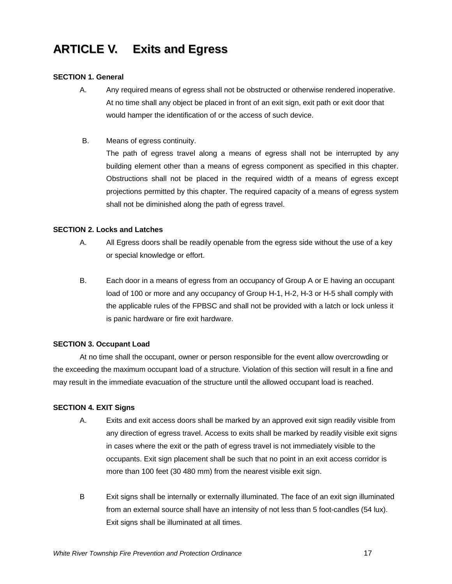## **ARTICLE V. Exits and Egress**

#### **SECTION 1. General**

- A. Any required means of egress shall not be obstructed or otherwise rendered inoperative. At no time shall any object be placed in front of an exit sign, exit path or exit door that would hamper the identification of or the access of such device.
- B. Means of egress continuity.

The path of egress travel along a means of egress shall not be interrupted by any building element other than a means of egress component as specified in this chapter. Obstructions shall not be placed in the required width of a means of egress except projections permitted by this chapter. The required capacity of a means of egress system shall not be diminished along the path of egress travel.

#### **SECTION 2. Locks and Latches**

- A. All Egress doors shall be readily openable from the egress side without the use of a key or special knowledge or effort.
- B. Each door in a means of egress from an occupancy of Group A or E having an occupant load of 100 or more and any occupancy of Group H-1, H-2, H-3 or H-5 shall comply with the applicable rules of the FPBSC and shall not be provided with a latch or lock unless it is panic hardware or fire exit hardware.

#### **SECTION 3. Occupant Load**

At no time shall the occupant, owner or person responsible for the event allow overcrowding or the exceeding the maximum occupant load of a structure. Violation of this section will result in a fine and may result in the immediate evacuation of the structure until the allowed occupant load is reached.

#### **SECTION 4. EXIT Signs**

- A. Exits and exit access doors shall be marked by an approved exit sign readily visible from any direction of egress travel. Access to exits shall be marked by readily visible exit signs in cases where the exit or the path of egress travel is not immediately visible to the occupants. Exit sign placement shall be such that no point in an exit access corridor is more than 100 feet (30 480 mm) from the nearest visible exit sign.
- B Exit signs shall be internally or externally illuminated. The face of an exit sign illuminated from an external source shall have an intensity of not less than 5 foot-candles (54 lux). Exit signs shall be illuminated at all times.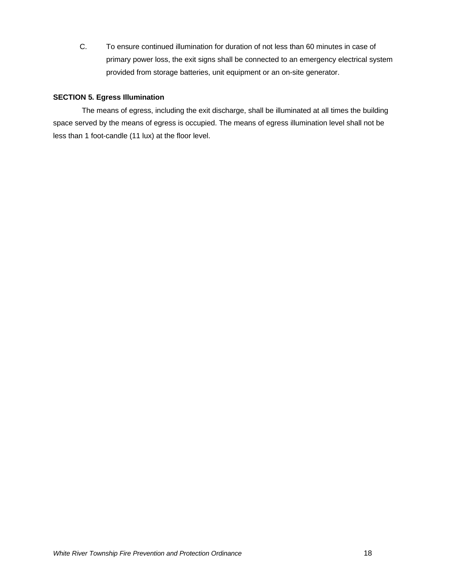C. To ensure continued illumination for duration of not less than 60 minutes in case of primary power loss, the exit signs shall be connected to an emergency electrical system provided from storage batteries, unit equipment or an on-site generator.

#### **SECTION 5. Egress Illumination**

The means of egress, including the exit discharge, shall be illuminated at all times the building space served by the means of egress is occupied. The means of egress illumination level shall not be less than 1 foot-candle (11 lux) at the floor level.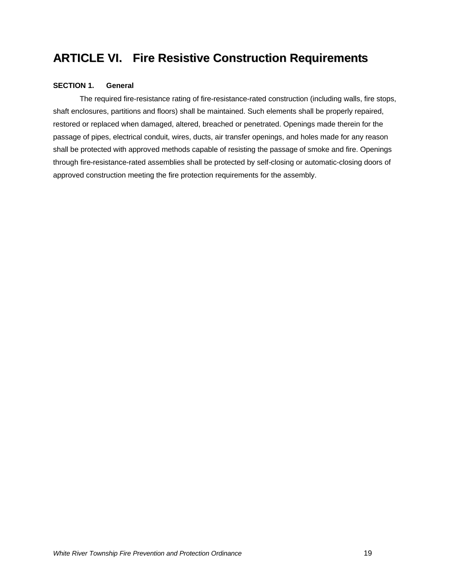### **ARTICLE VI. Fire Resistive Construction Requirements**

#### **SECTION 1. General**

The required fire-resistance rating of fire-resistance-rated construction (including walls, fire stops, shaft enclosures, partitions and floors) shall be maintained. Such elements shall be properly repaired, restored or replaced when damaged, altered, breached or penetrated. Openings made therein for the passage of pipes, electrical conduit, wires, ducts, air transfer openings, and holes made for any reason shall be protected with approved methods capable of resisting the passage of smoke and fire. Openings through fire-resistance-rated assemblies shall be protected by self-closing or automatic-closing doors of approved construction meeting the fire protection requirements for the assembly.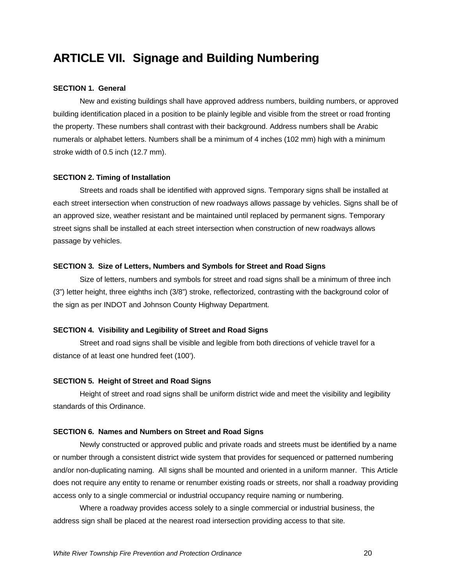### **ARTICLE VII. Signage and Building Numbering**

#### **SECTION 1. General**

New and existing buildings shall have approved address numbers, building numbers, or approved building identification placed in a position to be plainly legible and visible from the street or road fronting the property. These numbers shall contrast with their background. Address numbers shall be Arabic numerals or alphabet letters. Numbers shall be a minimum of 4 inches (102 mm) high with a minimum stroke width of 0.5 inch (12.7 mm).

#### **SECTION 2. Timing of Installation**

Streets and roads shall be identified with approved signs. Temporary signs shall be installed at each street intersection when construction of new roadways allows passage by vehicles. Signs shall be of an approved size, weather resistant and be maintained until replaced by permanent signs. Temporary street signs shall be installed at each street intersection when construction of new roadways allows passage by vehicles.

#### **SECTION 3. Size of Letters, Numbers and Symbols for Street and Road Signs**

Size of letters, numbers and symbols for street and road signs shall be a minimum of three inch (3") letter height, three eighths inch (3/8") stroke, reflectorized, contrasting with the background color of the sign as per INDOT and Johnson County Highway Department.

#### **SECTION 4. Visibility and Legibility of Street and Road Signs**

Street and road signs shall be visible and legible from both directions of vehicle travel for a distance of at least one hundred feet (100').

#### **SECTION 5. Height of Street and Road Signs**

Height of street and road signs shall be uniform district wide and meet the visibility and legibility standards of this Ordinance.

#### **SECTION 6. Names and Numbers on Street and Road Signs**

Newly constructed or approved public and private roads and streets must be identified by a name or number through a consistent district wide system that provides for sequenced or patterned numbering and/or non-duplicating naming. All signs shall be mounted and oriented in a uniform manner. This Article does not require any entity to rename or renumber existing roads or streets, nor shall a roadway providing access only to a single commercial or industrial occupancy require naming or numbering.

Where a roadway provides access solely to a single commercial or industrial business, the address sign shall be placed at the nearest road intersection providing access to that site.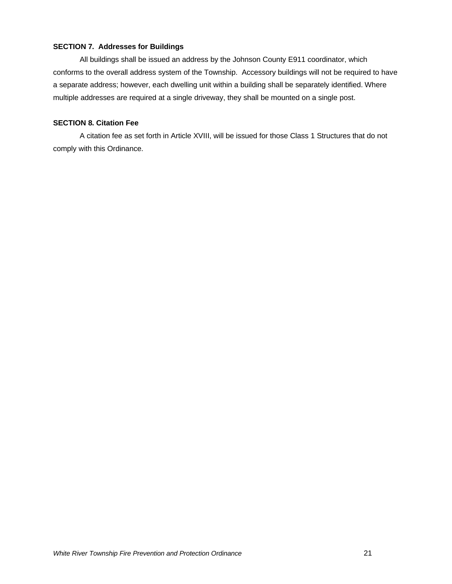#### **SECTION 7. Addresses for Buildings**

All buildings shall be issued an address by the Johnson County E911 coordinator, which conforms to the overall address system of the Township. Accessory buildings will not be required to have a separate address; however, each dwelling unit within a building shall be separately identified. Where multiple addresses are required at a single driveway, they shall be mounted on a single post.

#### **SECTION 8. Citation Fee**

A citation fee as set forth in Article XVIII, will be issued for those Class 1 Structures that do not comply with this Ordinance.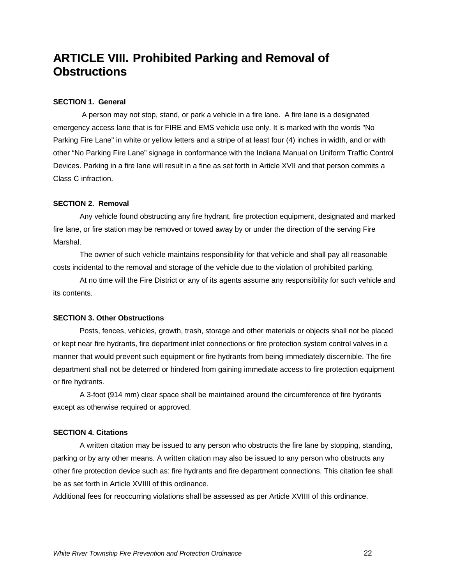### **ARTICLE VIII. Prohibited Parking and Removal of Obstructions**

#### **SECTION 1. General**

 A person may not stop, stand, or park a vehicle in a fire lane. A fire lane is a designated emergency access lane that is for FIRE and EMS vehicle use only. It is marked with the words "No Parking Fire Lane" in white or yellow letters and a stripe of at least four (4) inches in width, and or with other "No Parking Fire Lane" signage in conformance with the Indiana Manual on Uniform Traffic Control Devices. Parking in a fire lane will result in a fine as set forth in Article XVII and that person commits a Class C infraction.

#### **SECTION 2. Removal**

Any vehicle found obstructing any fire hydrant, fire protection equipment, designated and marked fire lane, or fire station may be removed or towed away by or under the direction of the serving Fire Marshal.

The owner of such vehicle maintains responsibility for that vehicle and shall pay all reasonable costs incidental to the removal and storage of the vehicle due to the violation of prohibited parking.

At no time will the Fire District or any of its agents assume any responsibility for such vehicle and its contents.

#### **SECTION 3. Other Obstructions**

Posts, fences, vehicles, growth, trash, storage and other materials or objects shall not be placed or kept near fire hydrants, fire department inlet connections or fire protection system control valves in a manner that would prevent such equipment or fire hydrants from being immediately discernible. The fire department shall not be deterred or hindered from gaining immediate access to fire protection equipment or fire hydrants.

A 3-foot (914 mm) clear space shall be maintained around the circumference of fire hydrants except as otherwise required or approved.

#### **SECTION 4. Citations**

A written citation may be issued to any person who obstructs the fire lane by stopping, standing, parking or by any other means. A written citation may also be issued to any person who obstructs any other fire protection device such as: fire hydrants and fire department connections. This citation fee shall be as set forth in Article XVIIII of this ordinance.

Additional fees for reoccurring violations shall be assessed as per Article XVIIII of this ordinance.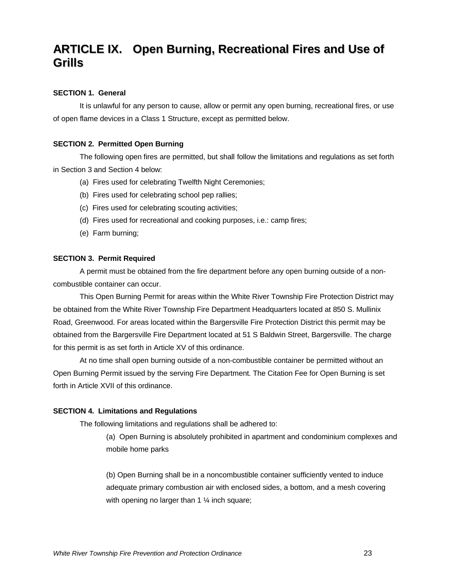### **ARTICLE IX. Open Burning, Recreational Fires and Use of Grills**

#### **SECTION 1. General**

It is unlawful for any person to cause, allow or permit any open burning, recreational fires, or use of open flame devices in a Class 1 Structure, except as permitted below.

#### **SECTION 2. Permitted Open Burning**

The following open fires are permitted, but shall follow the limitations and regulations as set forth in Section 3 and Section 4 below:

- (a) Fires used for celebrating Twelfth Night Ceremonies;
- (b) Fires used for celebrating school pep rallies;
- (c) Fires used for celebrating scouting activities;
- (d) Fires used for recreational and cooking purposes, i.e.: camp fires;
- (e) Farm burning;

#### **SECTION 3. Permit Required**

A permit must be obtained from the fire department before any open burning outside of a noncombustible container can occur.

This Open Burning Permit for areas within the White River Township Fire Protection District may be obtained from the White River Township Fire Department Headquarters located at 850 S. Mullinix Road, Greenwood. For areas located within the Bargersville Fire Protection District this permit may be obtained from the Bargersville Fire Department located at 51 S Baldwin Street, Bargersville. The charge for this permit is as set forth in Article XV of this ordinance.

At no time shall open burning outside of a non-combustible container be permitted without an Open Burning Permit issued by the serving Fire Department. The Citation Fee for Open Burning is set forth in Article XVII of this ordinance.

#### **SECTION 4. Limitations and Regulations**

The following limitations and regulations shall be adhered to:

(a) Open Burning is absolutely prohibited in apartment and condominium complexes and mobile home parks

(b) Open Burning shall be in a noncombustible container sufficiently vented to induce adequate primary combustion air with enclosed sides, a bottom, and a mesh covering with opening no larger than 1 % inch square;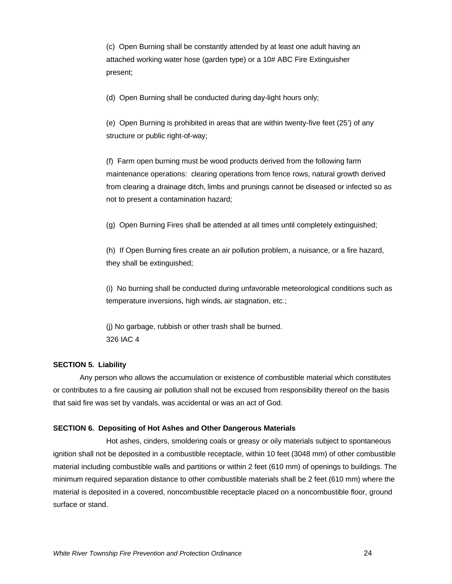(c) Open Burning shall be constantly attended by at least one adult having an attached working water hose (garden type) or a 10# ABC Fire Extinguisher present;

(d) Open Burning shall be conducted during day-light hours only;

(e) Open Burning is prohibited in areas that are within twenty-five feet (25') of any structure or public right-of-way;

(f) Farm open burning must be wood products derived from the following farm maintenance operations: clearing operations from fence rows, natural growth derived from clearing a drainage ditch, limbs and prunings cannot be diseased or infected so as not to present a contamination hazard;

(g) Open Burning Fires shall be attended at all times until completely extinguished;

(h) If Open Burning fires create an air pollution problem, a nuisance, or a fire hazard, they shall be extinguished;

(i) No burning shall be conducted during unfavorable meteorological conditions such as temperature inversions, high winds, air stagnation, etc.;

(j) No garbage, rubbish or other trash shall be burned. 326 IAC 4

#### **SECTION 5. Liability**

Any person who allows the accumulation or existence of combustible material which constitutes or contributes to a fire causing air pollution shall not be excused from responsibility thereof on the basis that said fire was set by vandals, was accidental or was an act of God.

#### **SECTION 6. Depositing of Hot Ashes and Other Dangerous Materials**

Hot ashes, cinders, smoldering coals or greasy or oily materials subject to spontaneous ignition shall not be deposited in a combustible receptacle, within 10 feet (3048 mm) of other combustible material including combustible walls and partitions or within 2 feet (610 mm) of openings to buildings. The minimum required separation distance to other combustible materials shall be 2 feet (610 mm) where the material is deposited in a covered, noncombustible receptacle placed on a noncombustible floor, ground surface or stand.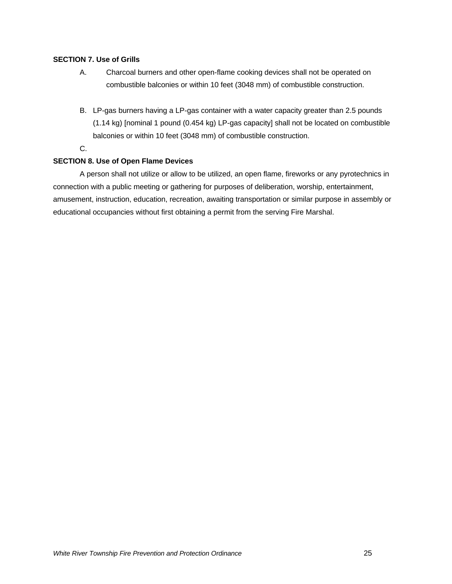#### **SECTION 7. Use of Grills**

- A. Charcoal burners and other open-flame cooking devices shall not be operated on combustible balconies or within 10 feet (3048 mm) of combustible construction.
- B. LP-gas burners having a LP-gas container with a water capacity greater than 2.5 pounds (1.14 kg) [nominal 1 pound (0.454 kg) LP-gas capacity] shall not be located on combustible balconies or within 10 feet (3048 mm) of combustible construction.
- C.

#### **SECTION 8. Use of Open Flame Devices**

A person shall not utilize or allow to be utilized, an open flame, fireworks or any pyrotechnics in connection with a public meeting or gathering for purposes of deliberation, worship, entertainment, amusement, instruction, education, recreation, awaiting transportation or similar purpose in assembly or educational occupancies without first obtaining a permit from the serving Fire Marshal.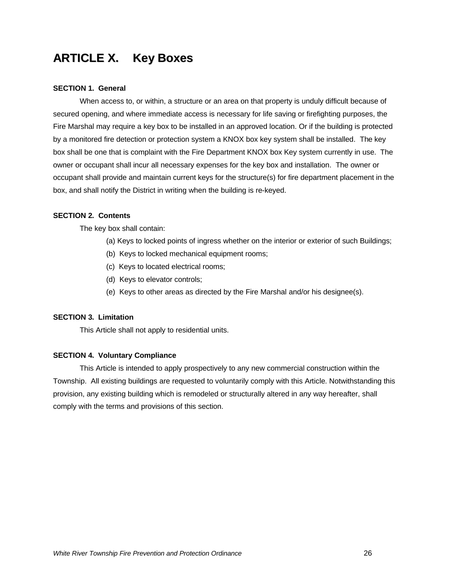## **ARTICLE X. Key Boxes**

#### **SECTION 1. General**

When access to, or within, a structure or an area on that property is unduly difficult because of secured opening, and where immediate access is necessary for life saving or firefighting purposes, the Fire Marshal may require a key box to be installed in an approved location. Or if the building is protected by a monitored fire detection or protection system a KNOX box key system shall be installed. The key box shall be one that is complaint with the Fire Department KNOX box Key system currently in use. The owner or occupant shall incur all necessary expenses for the key box and installation. The owner or occupant shall provide and maintain current keys for the structure(s) for fire department placement in the box, and shall notify the District in writing when the building is re-keyed.

#### **SECTION 2. Contents**

The key box shall contain:

- (a) Keys to locked points of ingress whether on the interior or exterior of such Buildings;
- (b) Keys to locked mechanical equipment rooms;
- (c) Keys to located electrical rooms;
- (d) Keys to elevator controls;
- (e) Keys to other areas as directed by the Fire Marshal and/or his designee(s).

#### **SECTION 3. Limitation**

This Article shall not apply to residential units.

#### **SECTION 4. Voluntary Compliance**

This Article is intended to apply prospectively to any new commercial construction within the Township. All existing buildings are requested to voluntarily comply with this Article. Notwithstanding this provision, any existing building which is remodeled or structurally altered in any way hereafter, shall comply with the terms and provisions of this section.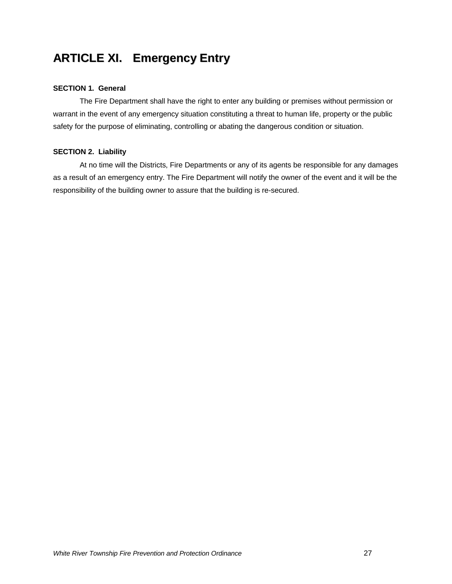## **ARTICLE XI. Emergency Entry**

#### **SECTION 1. General**

The Fire Department shall have the right to enter any building or premises without permission or warrant in the event of any emergency situation constituting a threat to human life, property or the public safety for the purpose of eliminating, controlling or abating the dangerous condition or situation.

#### **SECTION 2. Liability**

At no time will the Districts, Fire Departments or any of its agents be responsible for any damages as a result of an emergency entry. The Fire Department will notify the owner of the event and it will be the responsibility of the building owner to assure that the building is re-secured.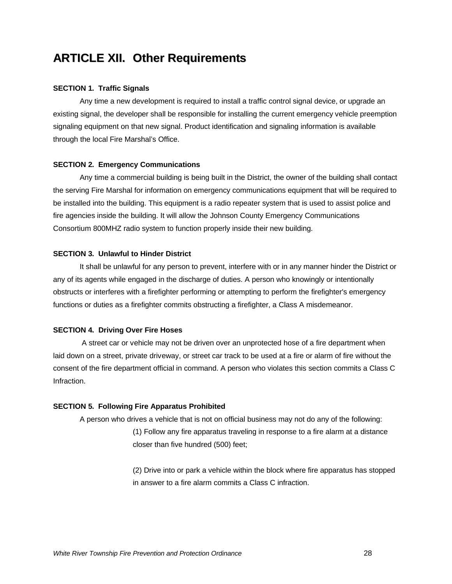### **ARTICLE XII. Other Requirements**

#### **SECTION 1. Traffic Signals**

Any time a new development is required to install a traffic control signal device, or upgrade an existing signal, the developer shall be responsible for installing the current emergency vehicle preemption signaling equipment on that new signal. Product identification and signaling information is available through the local Fire Marshal's Office.

#### **SECTION 2. Emergency Communications**

Any time a commercial building is being built in the District, the owner of the building shall contact the serving Fire Marshal for information on emergency communications equipment that will be required to be installed into the building. This equipment is a radio repeater system that is used to assist police and fire agencies inside the building. It will allow the Johnson County Emergency Communications Consortium 800MHZ radio system to function properly inside their new building.

#### **SECTION 3. Unlawful to Hinder District**

It shall be unlawful for any person to prevent, interfere with or in any manner hinder the District or any of its agents while engaged in the discharge of duties. A person who knowingly or intentionally obstructs or interferes with a firefighter performing or attempting to perform the firefighter's emergency functions or duties as a firefighter commits obstructing a firefighter, a Class A misdemeanor.

#### **SECTION 4. Driving Over Fire Hoses**

 A street car or vehicle may not be driven over an unprotected hose of a fire department when laid down on a street, private driveway, or street car track to be used at a fire or alarm of fire without the consent of the fire department official in command. A person who violates this section commits a Class C Infraction.

#### **SECTION 5. Following Fire Apparatus Prohibited**

A person who drives a vehicle that is not on official business may not do any of the following:

(1) Follow any fire apparatus traveling in response to a fire alarm at a distance closer than five hundred (500) feet;

(2) Drive into or park a vehicle within the block where fire apparatus has stopped in answer to a fire alarm commits a Class C infraction.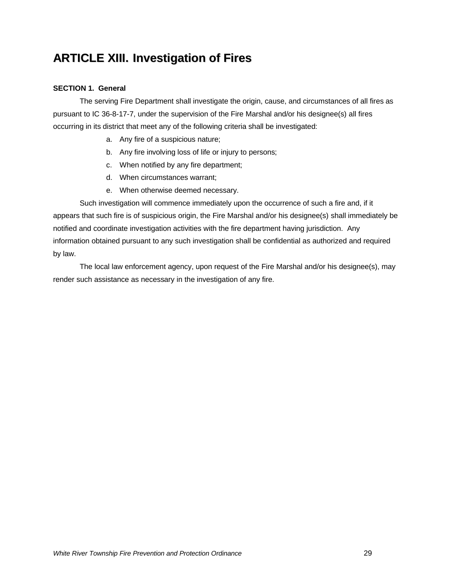## **ARTICLE XIII. Investigation of Fires**

#### **SECTION 1. General**

The serving Fire Department shall investigate the origin, cause, and circumstances of all fires as pursuant to IC 36-8-17-7, under the supervision of the Fire Marshal and/or his designee(s) all fires occurring in its district that meet any of the following criteria shall be investigated:

- a. Any fire of a suspicious nature;
- b. Any fire involving loss of life or injury to persons;
- c. When notified by any fire department;
- d. When circumstances warrant;
- e. When otherwise deemed necessary.

Such investigation will commence immediately upon the occurrence of such a fire and, if it appears that such fire is of suspicious origin, the Fire Marshal and/or his designee(s) shall immediately be notified and coordinate investigation activities with the fire department having jurisdiction. Any information obtained pursuant to any such investigation shall be confidential as authorized and required by law.

The local law enforcement agency, upon request of the Fire Marshal and/or his designee(s), may render such assistance as necessary in the investigation of any fire.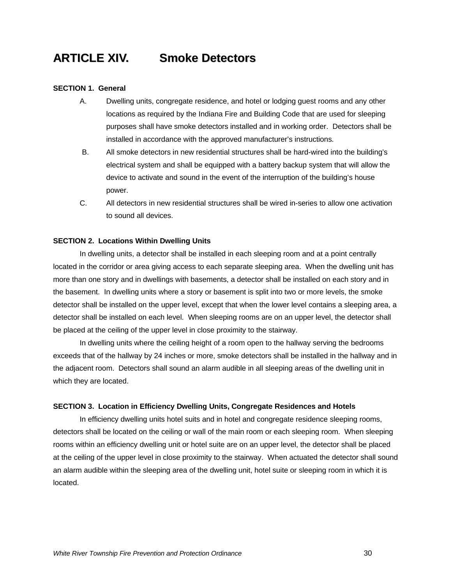### **ARTICLE XIV. Smoke Detectors**

#### **SECTION 1. General**

- A. Dwelling units, congregate residence, and hotel or lodging guest rooms and any other locations as required by the Indiana Fire and Building Code that are used for sleeping purposes shall have smoke detectors installed and in working order. Detectors shall be installed in accordance with the approved manufacturer's instructions.
- B. All smoke detectors in new residential structures shall be hard-wired into the building's electrical system and shall be equipped with a battery backup system that will allow the device to activate and sound in the event of the interruption of the building's house power.
- C. All detectors in new residential structures shall be wired in-series to allow one activation to sound all devices.

#### **SECTION 2. Locations Within Dwelling Units**

In dwelling units, a detector shall be installed in each sleeping room and at a point centrally located in the corridor or area giving access to each separate sleeping area. When the dwelling unit has more than one story and in dwellings with basements, a detector shall be installed on each story and in the basement. In dwelling units where a story or basement is split into two or more levels, the smoke detector shall be installed on the upper level, except that when the lower level contains a sleeping area, a detector shall be installed on each level. When sleeping rooms are on an upper level, the detector shall be placed at the ceiling of the upper level in close proximity to the stairway.

In dwelling units where the ceiling height of a room open to the hallway serving the bedrooms exceeds that of the hallway by 24 inches or more, smoke detectors shall be installed in the hallway and in the adjacent room. Detectors shall sound an alarm audible in all sleeping areas of the dwelling unit in which they are located.

#### **SECTION 3. Location in Efficiency Dwelling Units, Congregate Residences and Hotels**

In efficiency dwelling units hotel suits and in hotel and congregate residence sleeping rooms, detectors shall be located on the ceiling or wall of the main room or each sleeping room. When sleeping rooms within an efficiency dwelling unit or hotel suite are on an upper level, the detector shall be placed at the ceiling of the upper level in close proximity to the stairway. When actuated the detector shall sound an alarm audible within the sleeping area of the dwelling unit, hotel suite or sleeping room in which it is located.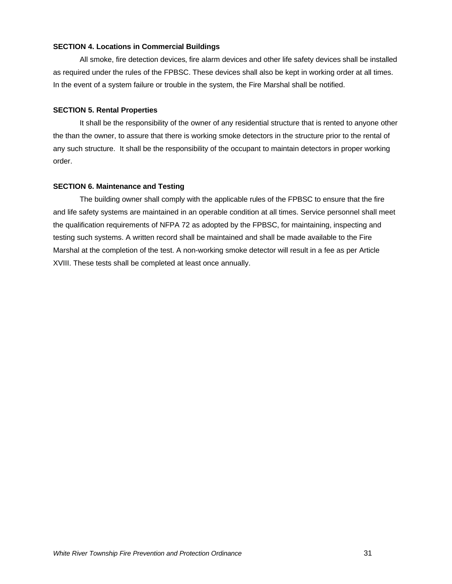#### **SECTION 4. Locations in Commercial Buildings**

All smoke, fire detection devices, fire alarm devices and other life safety devices shall be installed as required under the rules of the FPBSC. These devices shall also be kept in working order at all times. In the event of a system failure or trouble in the system, the Fire Marshal shall be notified.

#### **SECTION 5. Rental Properties**

It shall be the responsibility of the owner of any residential structure that is rented to anyone other the than the owner, to assure that there is working smoke detectors in the structure prior to the rental of any such structure. It shall be the responsibility of the occupant to maintain detectors in proper working order.

#### **SECTION 6. Maintenance and Testing**

The building owner shall comply with the applicable rules of the FPBSC to ensure that the fire and life safety systems are maintained in an operable condition at all times. Service personnel shall meet the qualification requirements of NFPA 72 as adopted by the FPBSC, for maintaining, inspecting and testing such systems. A written record shall be maintained and shall be made available to the Fire Marshal at the completion of the test. A non-working smoke detector will result in a fee as per Article XVIII. These tests shall be completed at least once annually.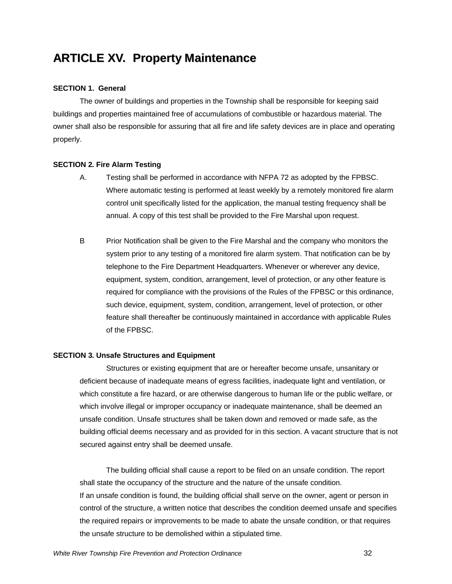### **ARTICLE XV. Property Maintenance**

#### **SECTION 1. General**

The owner of buildings and properties in the Township shall be responsible for keeping said buildings and properties maintained free of accumulations of combustible or hazardous material. The owner shall also be responsible for assuring that all fire and life safety devices are in place and operating properly.

#### **SECTION 2. Fire Alarm Testing**

- A. Testing shall be performed in accordance with NFPA 72 as adopted by the FPBSC. Where automatic testing is performed at least weekly by a remotely monitored fire alarm control unit specifically listed for the application, the manual testing frequency shall be annual. A copy of this test shall be provided to the Fire Marshal upon request.
- B Prior Notification shall be given to the Fire Marshal and the company who monitors the system prior to any testing of a monitored fire alarm system. That notification can be by telephone to the Fire Department Headquarters. Whenever or wherever any device, equipment, system, condition, arrangement, level of protection, or any other feature is required for compliance with the provisions of the Rules of the FPBSC or this ordinance, such device, equipment, system, condition, arrangement, level of protection, or other feature shall thereafter be continuously maintained in accordance with applicable Rules of the FPBSC.

#### **SECTION 3. Unsafe Structures and Equipment**

Structures or existing equipment that are or hereafter become unsafe, unsanitary or deficient because of inadequate means of egress facilities, inadequate light and ventilation, or which constitute a fire hazard, or are otherwise dangerous to human life or the public welfare, or which involve illegal or improper occupancy or inadequate maintenance, shall be deemed an unsafe condition. Unsafe structures shall be taken down and removed or made safe, as the building official deems necessary and as provided for in this section. A vacant structure that is not secured against entry shall be deemed unsafe.

The building official shall cause a report to be filed on an unsafe condition. The report shall state the occupancy of the structure and the nature of the unsafe condition. If an unsafe condition is found, the building official shall serve on the owner, agent or person in control of the structure, a written notice that describes the condition deemed unsafe and specifies the required repairs or improvements to be made to abate the unsafe condition, or that requires the unsafe structure to be demolished within a stipulated time.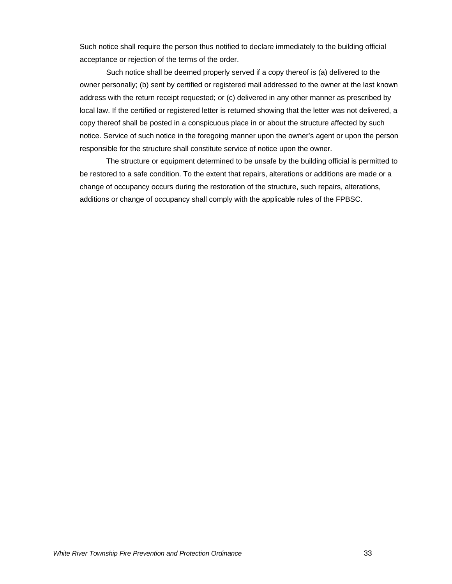Such notice shall require the person thus notified to declare immediately to the building official acceptance or rejection of the terms of the order.

Such notice shall be deemed properly served if a copy thereof is (a) delivered to the owner personally; (b) sent by certified or registered mail addressed to the owner at the last known address with the return receipt requested; or (c) delivered in any other manner as prescribed by local law. If the certified or registered letter is returned showing that the letter was not delivered, a copy thereof shall be posted in a conspicuous place in or about the structure affected by such notice. Service of such notice in the foregoing manner upon the owner's agent or upon the person responsible for the structure shall constitute service of notice upon the owner.

The structure or equipment determined to be unsafe by the building official is permitted to be restored to a safe condition. To the extent that repairs, alterations or additions are made or a change of occupancy occurs during the restoration of the structure, such repairs, alterations, additions or change of occupancy shall comply with the applicable rules of the FPBSC.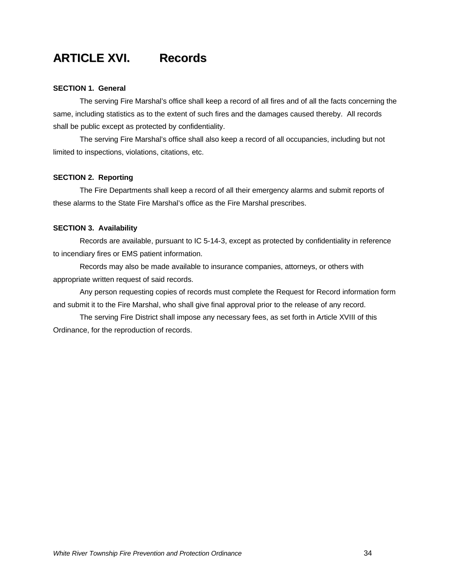### **ARTICLE XVI. Records**

#### **SECTION 1. General**

The serving Fire Marshal's office shall keep a record of all fires and of all the facts concerning the same, including statistics as to the extent of such fires and the damages caused thereby. All records shall be public except as protected by confidentiality.

The serving Fire Marshal's office shall also keep a record of all occupancies, including but not limited to inspections, violations, citations, etc.

#### **SECTION 2. Reporting**

The Fire Departments shall keep a record of all their emergency alarms and submit reports of these alarms to the State Fire Marshal's office as the Fire Marshal prescribes.

#### **SECTION 3. Availability**

Records are available, pursuant to IC 5-14-3, except as protected by confidentiality in reference to incendiary fires or EMS patient information.

Records may also be made available to insurance companies, attorneys, or others with appropriate written request of said records.

Any person requesting copies of records must complete the Request for Record information form and submit it to the Fire Marshal, who shall give final approval prior to the release of any record.

The serving Fire District shall impose any necessary fees, as set forth in Article XVIII of this Ordinance, for the reproduction of records.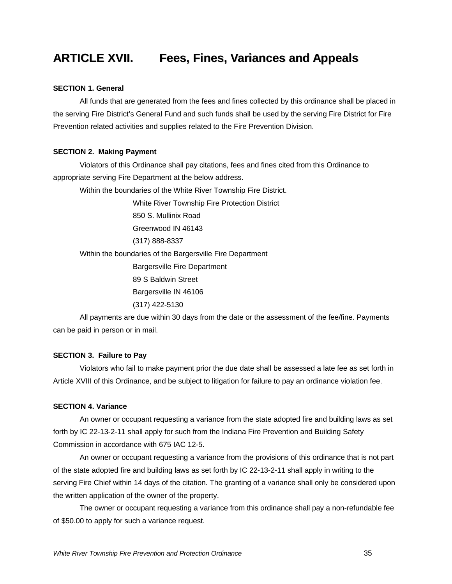### **ARTICLE XVII. Fees, Fines, Variances and Appeals**

#### **SECTION 1. General**

All funds that are generated from the fees and fines collected by this ordinance shall be placed in the serving Fire District's General Fund and such funds shall be used by the serving Fire District for Fire Prevention related activities and supplies related to the Fire Prevention Division.

#### **SECTION 2. Making Payment**

Violators of this Ordinance shall pay citations, fees and fines cited from this Ordinance to appropriate serving Fire Department at the below address.

Within the boundaries of the White River Township Fire District.

White River Township Fire Protection District

850 S. Mullinix Road

Greenwood IN 46143

(317) 888-8337

Within the boundaries of the Bargersville Fire Department

Bargersville Fire Department

89 S Baldwin Street

Bargersville IN 46106

(317) 422-5130

All payments are due within 30 days from the date or the assessment of the fee/fine. Payments can be paid in person or in mail.

#### **SECTION 3. Failure to Pay**

Violators who fail to make payment prior the due date shall be assessed a late fee as set forth in Article XVIII of this Ordinance, and be subject to litigation for failure to pay an ordinance violation fee.

#### **SECTION 4. Variance**

An owner or occupant requesting a variance from the state adopted fire and building laws as set forth by IC 22-13-2-11 shall apply for such from the Indiana Fire Prevention and Building Safety Commission in accordance with 675 IAC 12-5.

An owner or occupant requesting a variance from the provisions of this ordinance that is not part of the state adopted fire and building laws as set forth by IC 22-13-2-11 shall apply in writing to the serving Fire Chief within 14 days of the citation. The granting of a variance shall only be considered upon the written application of the owner of the property.

The owner or occupant requesting a variance from this ordinance shall pay a non-refundable fee of \$50.00 to apply for such a variance request.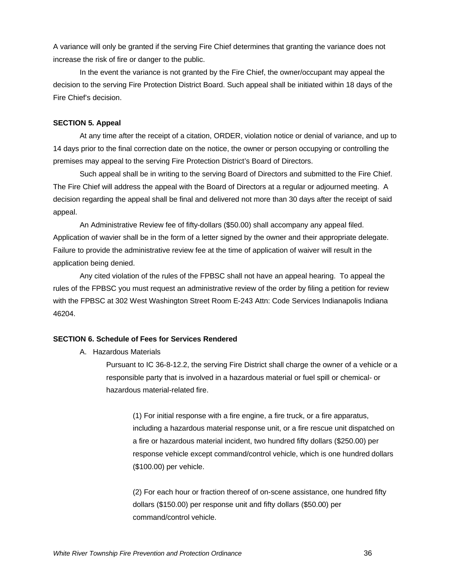A variance will only be granted if the serving Fire Chief determines that granting the variance does not increase the risk of fire or danger to the public.

In the event the variance is not granted by the Fire Chief, the owner/occupant may appeal the decision to the serving Fire Protection District Board. Such appeal shall be initiated within 18 days of the Fire Chief's decision.

#### **SECTION 5. Appeal**

At any time after the receipt of a citation, ORDER, violation notice or denial of variance, and up to 14 days prior to the final correction date on the notice, the owner or person occupying or controlling the premises may appeal to the serving Fire Protection District's Board of Directors.

Such appeal shall be in writing to the serving Board of Directors and submitted to the Fire Chief. The Fire Chief will address the appeal with the Board of Directors at a regular or adjourned meeting. A decision regarding the appeal shall be final and delivered not more than 30 days after the receipt of said appeal.

An Administrative Review fee of fifty-dollars (\$50.00) shall accompany any appeal filed. Application of wavier shall be in the form of a letter signed by the owner and their appropriate delegate. Failure to provide the administrative review fee at the time of application of waiver will result in the application being denied.

Any cited violation of the rules of the FPBSC shall not have an appeal hearing. To appeal the rules of the FPBSC you must request an administrative review of the order by filing a petition for review with the FPBSC at 302 West Washington Street Room E-243 Attn: Code Services Indianapolis Indiana 46204.

#### **SECTION 6. Schedule of Fees for Services Rendered**

A. Hazardous Materials

Pursuant to IC 36-8-12.2, the serving Fire District shall charge the owner of a vehicle or a responsible party that is involved in a hazardous material or fuel spill or chemical- or hazardous material-related fire.

(1) For initial response with a fire engine, a fire truck, or a fire apparatus, including a hazardous material response unit, or a fire rescue unit dispatched on a fire or hazardous material incident, two hundred fifty dollars (\$250.00) per response vehicle except command/control vehicle, which is one hundred dollars (\$100.00) per vehicle.

(2) For each hour or fraction thereof of on-scene assistance, one hundred fifty dollars (\$150.00) per response unit and fifty dollars (\$50.00) per command/control vehicle.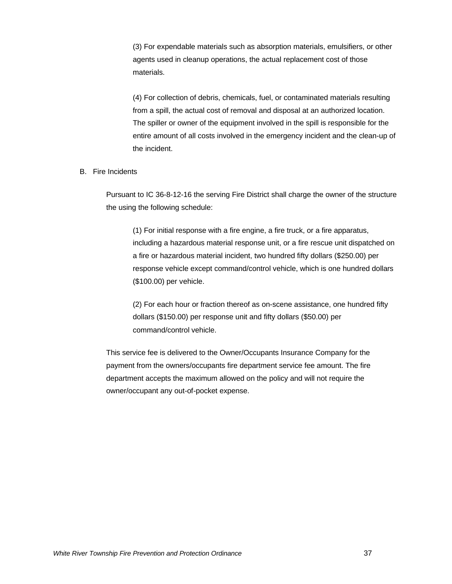(3) For expendable materials such as absorption materials, emulsifiers, or other agents used in cleanup operations, the actual replacement cost of those materials.

(4) For collection of debris, chemicals, fuel, or contaminated materials resulting from a spill, the actual cost of removal and disposal at an authorized location. The spiller or owner of the equipment involved in the spill is responsible for the entire amount of all costs involved in the emergency incident and the clean-up of the incident.

#### B. Fire Incidents

Pursuant to IC 36-8-12-16 the serving Fire District shall charge the owner of the structure the using the following schedule:

(1) For initial response with a fire engine, a fire truck, or a fire apparatus, including a hazardous material response unit, or a fire rescue unit dispatched on a fire or hazardous material incident, two hundred fifty dollars (\$250.00) per response vehicle except command/control vehicle, which is one hundred dollars (\$100.00) per vehicle.

(2) For each hour or fraction thereof as on-scene assistance, one hundred fifty dollars (\$150.00) per response unit and fifty dollars (\$50.00) per command/control vehicle.

This service fee is delivered to the Owner/Occupants Insurance Company for the payment from the owners/occupants fire department service fee amount. The fire department accepts the maximum allowed on the policy and will not require the owner/occupant any out-of-pocket expense.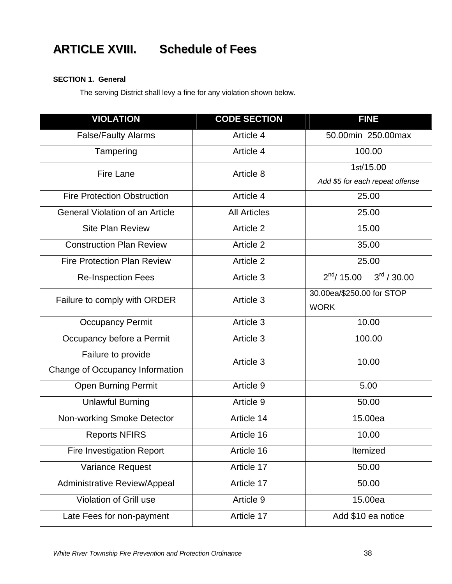## **ARTICLE XVIII. Schedule of Fees**

#### **SECTION 1. General**

The serving District shall levy a fine for any violation shown below.

| <b>VIOLATION</b>                       | <b>CODE SECTION</b> | <b>FINE</b>                                |  |
|----------------------------------------|---------------------|--------------------------------------------|--|
| <b>False/Faulty Alarms</b>             | Article 4           | 50.00min 250.00max                         |  |
| Tampering                              | Article 4           | 100.00                                     |  |
| Fire Lane                              | Article 8           | 1st/15.00                                  |  |
|                                        |                     | Add \$5 for each repeat offense            |  |
| <b>Fire Protection Obstruction</b>     | Article 4           | 25.00                                      |  |
| <b>General Violation of an Article</b> | <b>All Articles</b> | 25.00                                      |  |
| <b>Site Plan Review</b>                | Article 2           | 15.00                                      |  |
| <b>Construction Plan Review</b>        | Article 2           | 35.00                                      |  |
| <b>Fire Protection Plan Review</b>     | Article 2           | 25.00                                      |  |
| <b>Re-Inspection Fees</b>              | Article 3           | $3^{\text{rd}}$ / 30.00<br>$2^{nd}/ 15.00$ |  |
| Failure to comply with ORDER           | Article 3           | 30.00ea/\$250.00 for STOP                  |  |
|                                        |                     | <b>WORK</b>                                |  |
| <b>Occupancy Permit</b>                | Article 3           | 10.00                                      |  |
| Occupancy before a Permit              | Article 3           | 100.00                                     |  |
| Failure to provide                     | Article 3           | 10.00                                      |  |
| Change of Occupancy Information        |                     |                                            |  |
| <b>Open Burning Permit</b>             | Article 9           | 5.00                                       |  |
| <b>Unlawful Burning</b>                | Article 9           | 50.00                                      |  |
| Non-working Smoke Detector             | Article 14          | 15.00ea                                    |  |
| <b>Reports NFIRS</b>                   | Article 16          | 10.00                                      |  |
| <b>Fire Investigation Report</b>       | Article 16          | Itemized                                   |  |
| Variance Request                       | Article 17          | 50.00                                      |  |
| <b>Administrative Review/Appeal</b>    | Article 17          | 50.00                                      |  |
| Violation of Grill use                 | Article 9           | 15.00ea                                    |  |
| Late Fees for non-payment              | Article 17          | Add \$10 ea notice                         |  |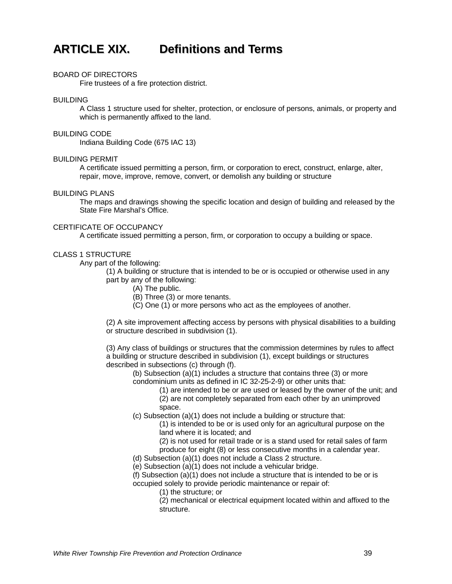

#### BOARD OF DIRECTORS

Fire trustees of a fire protection district.

#### BUILDING

A Class 1 structure used for shelter, protection, or enclosure of persons, animals, or property and which is permanently affixed to the land.

#### BUILDING CODE

Indiana Building Code (675 IAC 13)

#### BUILDING PERMIT

A certificate issued permitting a person, firm, or corporation to erect, construct, enlarge, alter, repair, move, improve, remove, convert, or demolish any building or structure

#### BUILDING PLANS

The maps and drawings showing the specific location and design of building and released by the State Fire Marshal's Office.

#### CERTIFICATE OF OCCUPANCY

A certificate issued permitting a person, firm, or corporation to occupy a building or space.

#### CLASS 1 STRUCTURE

Any part of the following:

(1) A building or structure that is intended to be or is occupied or otherwise used in any part by any of the following:

- (A) The public.
- (B) Three (3) or more tenants.
- (C) One (1) or more persons who act as the employees of another.

(2) A site improvement affecting access by persons with physical disabilities to a building or structure described in subdivision (1).

(3) Any class of buildings or structures that the commission determines by rules to affect a building or structure described in subdivision (1), except buildings or structures described in subsections (c) through (f).

(b) Subsection (a)(1) includes a structure that contains three (3) or more condominium units as defined in IC 32-25-2-9) or other units that:

(1) are intended to be or are used or leased by the owner of the unit; and

(2) are not completely separated from each other by an unimproved space.

(c) Subsection (a)(1) does not include a building or structure that:

(1) is intended to be or is used only for an agricultural purpose on the land where it is located; and

(2) is not used for retail trade or is a stand used for retail sales of farm produce for eight (8) or less consecutive months in a calendar year.

- (d) Subsection (a)(1) does not include a Class 2 structure.
- $(e)$  Subsection  $(a)(1)$  does not include a vehicular bridge.

(f) Subsection (a)(1) does not include a structure that is intended to be or is occupied solely to provide periodic maintenance or repair of:

(1) the structure; or

(2) mechanical or electrical equipment located within and affixed to the structure.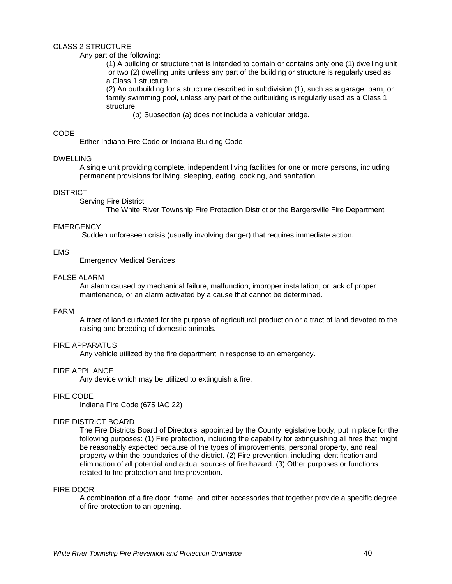#### CLASS 2 STRUCTURE

#### Any part of the following:

(1) A building or structure that is intended to contain or contains only one (1) dwelling unit or two (2) dwelling units unless any part of the building or structure is regularly used as a Class 1 structure.

(2) An outbuilding for a structure described in subdivision (1), such as a garage, barn, or family swimming pool, unless any part of the outbuilding is regularly used as a Class 1 structure.

(b) Subsection (a) does not include a vehicular bridge.

#### CODE

Either Indiana Fire Code or Indiana Building Code

#### DWELLING

A single unit providing complete, independent living facilities for one or more persons, including permanent provisions for living, sleeping, eating, cooking, and sanitation.

#### **DISTRICT**

Serving Fire District

The White River Township Fire Protection District or the Bargersville Fire Department

#### **EMERGENCY**

Sudden unforeseen crisis (usually involving danger) that requires immediate action.

#### EMS

Emergency Medical Services

#### FALSE ALARM

An alarm caused by mechanical failure, malfunction, improper installation, or lack of proper maintenance, or an alarm activated by a cause that cannot be determined.

#### FARM

A tract of land cultivated for the purpose of agricultural production or a tract of land devoted to the raising and breeding of domestic animals.

#### FIRE APPARATUS

Any vehicle utilized by the fire department in response to an emergency.

#### FIRE APPLIANCE

Any device which may be utilized to extinguish a fire.

#### FIRE CODE

Indiana Fire Code (675 IAC 22)

#### FIRE DISTRICT BOARD

The Fire Districts Board of Directors, appointed by the County legislative body, put in place for the following purposes: (1) Fire protection, including the capability for extinguishing all fires that might be reasonably expected because of the types of improvements, personal property, and real property within the boundaries of the district. (2) Fire prevention, including identification and elimination of all potential and actual sources of fire hazard. (3) Other purposes or functions related to fire protection and fire prevention.

#### FIRE DOOR

A combination of a fire door, frame, and other accessories that together provide a specific degree of fire protection to an opening.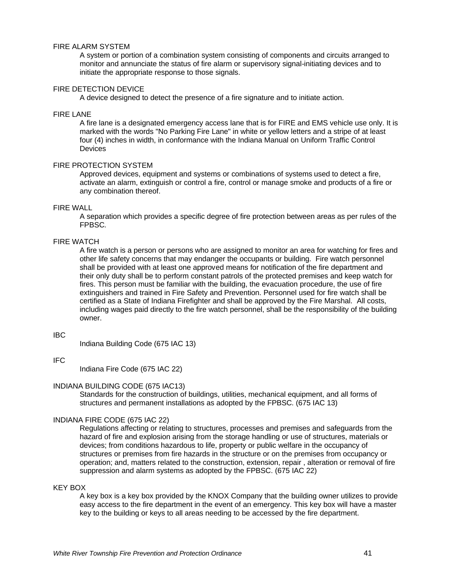#### FIRE ALARM SYSTEM

A system or portion of a combination system consisting of components and circuits arranged to monitor and annunciate the status of fire alarm or supervisory signal-initiating devices and to initiate the appropriate response to those signals.

#### FIRE DETECTION DEVICE

A device designed to detect the presence of a fire signature and to initiate action.

#### FIRE LANE

A fire lane is a designated emergency access lane that is for FIRE and EMS vehicle use only. It is marked with the words "No Parking Fire Lane" in white or yellow letters and a stripe of at least four (4) inches in width, in conformance with the Indiana Manual on Uniform Traffic Control **Devices** 

#### FIRE PROTECTION SYSTEM

Approved devices, equipment and systems or combinations of systems used to detect a fire, activate an alarm, extinguish or control a fire, control or manage smoke and products of a fire or any combination thereof.

#### FIRE WALL

A separation which provides a specific degree of fire protection between areas as per rules of the FPBSC.

#### FIRE WATCH

A fire watch is a person or persons who are assigned to monitor an area for watching for fires and other life safety concerns that may endanger the occupants or building. Fire watch personnel shall be provided with at least one approved means for notification of the fire department and their only duty shall be to perform constant patrols of the protected premises and keep watch for fires. This person must be familiar with the building, the evacuation procedure, the use of fire extinguishers and trained in Fire Safety and Prevention. Personnel used for fire watch shall be certified as a State of Indiana Firefighter and shall be approved by the Fire Marshal. All costs, including wages paid directly to the fire watch personnel, shall be the responsibility of the building owner.

#### IBC

Indiana Building Code (675 IAC 13)

#### IFC

Indiana Fire Code (675 IAC 22)

#### INDIANA BUILDING CODE (675 IAC13)

Standards for the construction of buildings, utilities, mechanical equipment, and all forms of structures and permanent installations as adopted by the FPBSC. (675 IAC 13)

#### INDIANA FIRE CODE (675 IAC 22)

Regulations affecting or relating to structures, processes and premises and safeguards from the hazard of fire and explosion arising from the storage handling or use of structures, materials or devices; from conditions hazardous to life, property or public welfare in the occupancy of structures or premises from fire hazards in the structure or on the premises from occupancy or operation; and, matters related to the construction, extension, repair , alteration or removal of fire suppression and alarm systems as adopted by the FPBSC. (675 IAC 22)

#### KEY BOX

A key box is a key box provided by the KNOX Company that the building owner utilizes to provide easy access to the fire department in the event of an emergency. This key box will have a master key to the building or keys to all areas needing to be accessed by the fire department.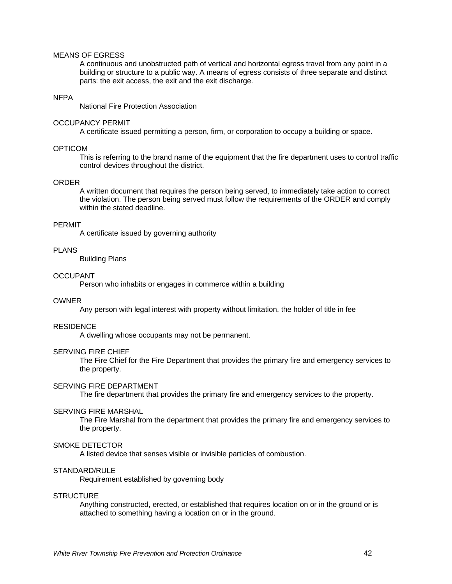#### MEANS OF EGRESS

A continuous and unobstructed path of vertical and horizontal egress travel from any point in a building or structure to a public way. A means of egress consists of three separate and distinct parts: the exit access, the exit and the exit discharge.

#### **NFPA**

National Fire Protection Association

#### OCCUPANCY PERMIT

A certificate issued permitting a person, firm, or corporation to occupy a building or space.

#### **OPTICOM**

This is referring to the brand name of the equipment that the fire department uses to control traffic control devices throughout the district.

#### ORDER

A written document that requires the person being served, to immediately take action to correct the violation. The person being served must follow the requirements of the ORDER and comply within the stated deadline.

#### PERMIT

A certificate issued by governing authority

#### PLANS

Building Plans

#### **OCCUPANT**

Person who inhabits or engages in commerce within a building

#### OWNER

Any person with legal interest with property without limitation, the holder of title in fee

#### RESIDENCE

A dwelling whose occupants may not be permanent.

#### SERVING FIRE CHIEF

The Fire Chief for the Fire Department that provides the primary fire and emergency services to the property.

#### SERVING FIRE DEPARTMENT

The fire department that provides the primary fire and emergency services to the property.

#### SERVING FIRE MARSHAL

The Fire Marshal from the department that provides the primary fire and emergency services to the property.

#### SMOKE DETECTOR

A listed device that senses visible or invisible particles of combustion.

#### STANDARD/RULE

Requirement established by governing body

#### **STRUCTURE**

Anything constructed, erected, or established that requires location on or in the ground or is attached to something having a location on or in the ground.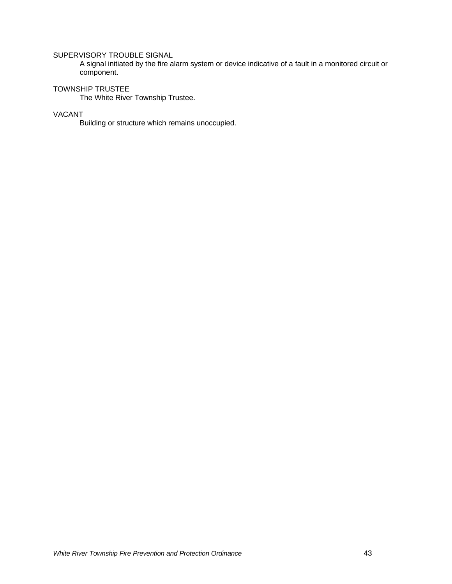#### SUPERVISORY TROUBLE SIGNAL

A signal initiated by the fire alarm system or device indicative of a fault in a monitored circuit or component.

#### TOWNSHIP TRUSTEE

The White River Township Trustee.

#### VACANT

Building or structure which remains unoccupied.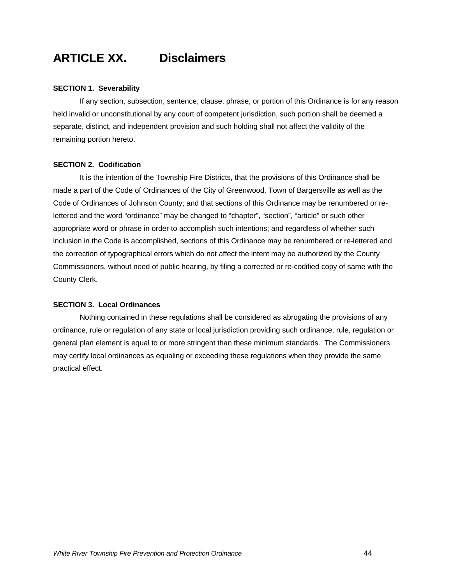## **ARTICLE XX. Disclaimers**

#### **SECTION 1. Severability**

If any section, subsection, sentence, clause, phrase, or portion of this Ordinance is for any reason held invalid or unconstitutional by any court of competent jurisdiction, such portion shall be deemed a separate, distinct, and independent provision and such holding shall not affect the validity of the remaining portion hereto.

#### **SECTION 2. Codification**

It is the intention of the Township Fire Districts, that the provisions of this Ordinance shall be made a part of the Code of Ordinances of the City of Greenwood, Town of Bargersville as well as the Code of Ordinances of Johnson County; and that sections of this Ordinance may be renumbered or relettered and the word "ordinance" may be changed to "chapter", "section", "article" or such other appropriate word or phrase in order to accomplish such intentions; and regardless of whether such inclusion in the Code is accomplished, sections of this Ordinance may be renumbered or re-lettered and the correction of typographical errors which do not affect the intent may be authorized by the County Commissioners, without need of public hearing, by filing a corrected or re-codified copy of same with the County Clerk.

#### **SECTION 3. Local Ordinances**

Nothing contained in these regulations shall be considered as abrogating the provisions of any ordinance, rule or regulation of any state or local jurisdiction providing such ordinance, rule, regulation or general plan element is equal to or more stringent than these minimum standards. The Commissioners may certify local ordinances as equaling or exceeding these regulations when they provide the same practical effect.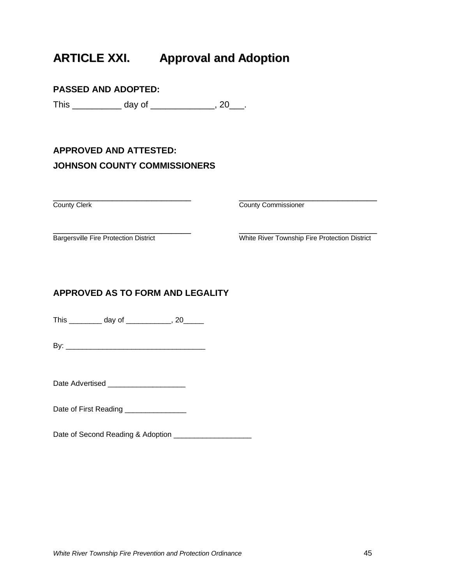## **ARTICLE XXI. Approval and Adoption**

### **PASSED AND ADOPTED:**

This \_\_\_\_\_\_\_\_\_\_\_\_\_ day of \_\_\_\_\_\_\_\_\_\_\_\_\_\_, 20\_\_\_.

### **APPROVED AND ATTESTED: JOHNSON COUNTY COMMISSIONERS**

\_\_\_\_\_\_\_\_\_\_\_\_\_\_\_\_\_\_\_\_\_\_\_\_\_\_\_\_ \_\_\_\_\_\_\_\_\_\_\_\_\_\_\_\_\_\_\_\_\_\_\_\_\_\_\_\_

**County Clerk** County Clerk County Commissioner

\_\_\_\_\_\_\_\_\_\_\_\_\_\_\_\_\_\_\_\_\_\_\_\_\_\_\_\_ \_\_\_\_\_\_\_\_\_\_\_\_\_\_\_\_\_\_\_\_\_\_\_\_\_\_\_\_ Bargersville Fire Protection District White River Township Fire Protection District

### **APPROVED AS TO FORM AND LEGALITY**

This \_\_\_\_\_\_\_\_ day of \_\_\_\_\_\_\_\_\_\_, 20\_\_\_\_\_\_

 $\mathsf{B} \mathsf{v}$ :

Date Advertised \_\_\_\_\_\_\_\_\_\_\_\_\_\_\_\_\_\_\_

Date of First Reading \_\_\_\_\_\_\_\_\_\_\_\_\_\_\_\_\_

Date of Second Reading & Adoption \_\_\_\_\_\_\_\_\_\_\_\_\_\_\_\_\_\_\_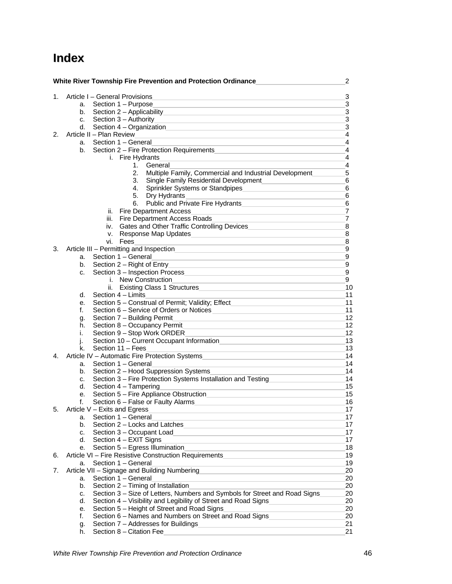### **Index**

|    | White River Township Fire Prevention and Protection Ordinance                                                                                                                                                       | $\overline{2}$ |
|----|---------------------------------------------------------------------------------------------------------------------------------------------------------------------------------------------------------------------|----------------|
| 1. | Article I - General Provisions                                                                                                                                                                                      | 3              |
|    | the control of the control of the control of the control of the control of the control of<br>Section 1 - Purpose<br>а.<br>the control of the control of the control of the control of the control of the control of | 3              |
|    | Section 2 - Applicability<br>b.                                                                                                                                                                                     | $\mathbf{3}$   |
|    | Section 3 - Authority<br>C.                                                                                                                                                                                         | 3              |
|    | Section 4 – Organization<br>d.                                                                                                                                                                                      | 3              |
| 2. | Article II - Plan Review                                                                                                                                                                                            | $\overline{4}$ |
|    | Section 1 - General<br>а.                                                                                                                                                                                           | $\overline{4}$ |
|    | Section 2 - Fire Protection Requirements<br>b.                                                                                                                                                                      | 4              |
|    | i. Fire Hydrants                                                                                                                                                                                                    | 4              |
|    | 1.<br>General                                                                                                                                                                                                       | 4              |
|    | 2.<br>Multiple Family, Commercial and Industrial Development_                                                                                                                                                       | 5              |
|    | Single Family Residential Development<br>3.<br><u> 1980 - Andrea Andrew Maria (h. 1980).</u>                                                                                                                        | 6              |
|    | Sprinkler Systems or Standpipes<br>4.                                                                                                                                                                               | 6              |
|    | 5.<br>Dry Hydrants                                                                                                                                                                                                  | 6              |
|    | Public and Private Fire Hydrants<br>6.                                                                                                                                                                              | 6              |
|    | ii. Fire Department Access                                                                                                                                                                                          | $\overline{7}$ |
|    | iii. Fire Department Access Roads                                                                                                                                                                                   | $\overline{7}$ |
|    | Gates and Other Traffic Controlling Devices<br>iv.                                                                                                                                                                  | 8              |
|    | <b>Response Map Updates</b><br>V.<br><u> 1989 - Johann Stein, mars et al. 1990 - Anna ann an t-Anna ann an t-Anna ann an t-Anna ann an t-Anna ann an t-</u>                                                         | 8              |
|    | Fees<br>vi. I                                                                                                                                                                                                       | 8              |
| 3. |                                                                                                                                                                                                                     | 9              |
|    | Section 1 - General<br>a.                                                                                                                                                                                           | 9              |
|    | Section 2 - Right of Entry<br>b.<br>the control of the control of the control of the control of the control of the control of                                                                                       | 9              |
|    | Section 3 – Inspection Process <b>Executive Section</b> 3 – Inspection Process<br>C.                                                                                                                                | 9              |
|    | <i>i.</i> New Construction                                                                                                                                                                                          | 9              |
|    | ii.<br>Existing Class 1 Structures                                                                                                                                                                                  | 10             |
|    | Section 4 - Limits<br>d.                                                                                                                                                                                            | 11             |
|    | Section 5 - Construal of Permit; Validity; Effect<br>е.                                                                                                                                                             | 11             |
|    | Section 6 – Service of Orders or Notices<br>f.                                                                                                                                                                      | 11             |
|    | Section 7 - Building Permit<br>g.                                                                                                                                                                                   | 12             |
|    | Section 8 - Occupancy Permit<br>h.                                                                                                                                                                                  | 12             |
|    | Section 9 - Stop Work ORDER<br>i.<br>the control of the control of the control of the control of the control of                                                                                                     | 12             |
|    | Section 10 - Current Occupant Information<br>j.                                                                                                                                                                     | 13             |
|    | Section 11 - Fees<br>k.                                                                                                                                                                                             | 13             |
| 4. | Article IV – Automatic Fire Protection Systems                                                                                                                                                                      | 14             |
|    | Section 1 - General<br>a.                                                                                                                                                                                           | 14             |
|    | Section 2 - Hood Suppression Systems<br>b.                                                                                                                                                                          | 14             |
|    | Section 3 - Fire Protection Systems Installation and Testing<br>C.                                                                                                                                                  | 14             |
|    | d.<br>Section 4 - Tampering                                                                                                                                                                                         | 15             |
|    | Section 5 - Fire Appliance Obstruction<br>е.                                                                                                                                                                        | 15             |
|    | Section 6 - False or Faulty Alarms<br>f.                                                                                                                                                                            | 16             |
| 5. | Article V - Exits and Egress                                                                                                                                                                                        | 17             |
|    | Section 1 - General<br>а.                                                                                                                                                                                           | 17             |
|    | Section 2 - Locks and Latches<br>b.                                                                                                                                                                                 | 17             |
|    | Section 3 - Occupant Load<br>C.                                                                                                                                                                                     | 17             |
|    | d.<br>Section 4 – EXIT Signs                                                                                                                                                                                        | 17             |
|    | Section 5 - Egress Illumination<br>е.                                                                                                                                                                               | 18             |
| 6. | Article VI - Fire Resistive Construction Requirements                                                                                                                                                               | 19             |
|    | Section 1 - General<br>a.                                                                                                                                                                                           | 19             |
| 7. | Article VII - Signage and Building Numbering                                                                                                                                                                        | 20             |
|    | Section 1 - General<br>a.                                                                                                                                                                                           | 20             |
|    | Section 2 - Timing of Installation<br>b.                                                                                                                                                                            | 20             |
|    | Section 3 - Size of Letters, Numbers and Symbols for Street and Road Signs<br>c.                                                                                                                                    | 20             |
|    | Section 4 - Visibility and Legibility of Street and Road Signs<br>d.                                                                                                                                                | 20             |
|    | Section 5 - Height of Street and Road Signs<br>е.                                                                                                                                                                   | 20             |
|    | Section 6 - Names and Numbers on Street and Road Signs<br>f.                                                                                                                                                        | 20             |
|    | Section 7 - Addresses for Buildings<br>g.                                                                                                                                                                           | 21             |
|    | Section 8 - Citation Fee<br>h.                                                                                                                                                                                      | 21             |
|    |                                                                                                                                                                                                                     |                |